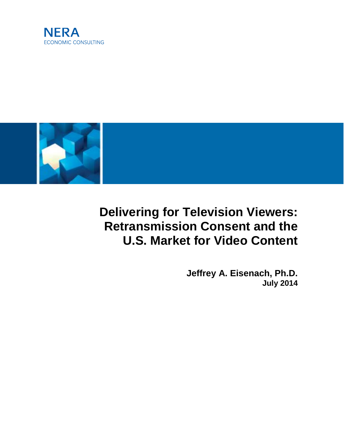



# **Delivering for Television Viewers: Retransmission Consent and the U.S. Market for Video Content**

**Jeffrey A. Eisenach, Ph.D. July 2014**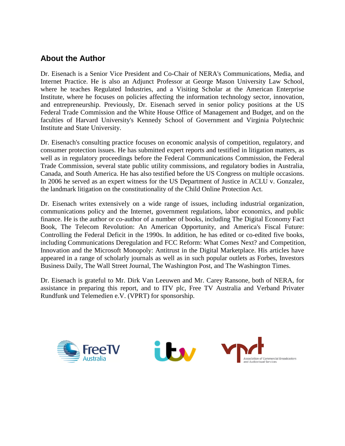## **About the Author**

Dr. Eisenach is a Senior Vice President and Co-Chair of NERA's Communications, Media, and Internet Practice. He is also an Adjunct Professor at George Mason University Law School, where he teaches Regulated Industries, and a Visiting Scholar at the American Enterprise Institute, where he focuses on policies affecting the information technology sector, innovation, and entrepreneurship. Previously, Dr. Eisenach served in senior policy positions at the US Federal Trade Commission and the White House Office of Management and Budget, and on the faculties of Harvard University's Kennedy School of Government and Virginia Polytechnic Institute and State University.

Dr. Eisenach's consulting practice focuses on economic analysis of competition, regulatory, and consumer protection issues. He has submitted expert reports and testified in litigation matters, as well as in regulatory proceedings before the Federal Communications Commission, the Federal Trade Commission, several state public utility commissions, and regulatory bodies in Australia, Canada, and South America. He has also testified before the US Congress on multiple occasions. In 2006 he served as an expert witness for the US Department of Justice in ACLU v. Gonzalez, the landmark litigation on the constitutionality of the Child Online Protection Act.

Dr. Eisenach writes extensively on a wide range of issues, including industrial organization, communications policy and the Internet, government regulations, labor economics, and public finance. He is the author or co-author of a number of books, including The Digital Economy Fact Book, The Telecom Revolution: An American Opportunity, and America's Fiscal Future: Controlling the Federal Deficit in the 1990s. In addition, he has edited or co-edited five books, including Communications Deregulation and FCC Reform: What Comes Next? and Competition, Innovation and the Microsoft Monopoly: Antitrust in the Digital Marketplace. His articles have appeared in a range of scholarly journals as well as in such popular outlets as Forbes, Investors Business Daily, The Wall Street Journal, The Washington Post, and The Washington Times.

Dr. Eisenach is grateful to Mr. Dirk Van Leeuwen and Mr. Carey Ransone, both of NERA, for assistance in preparing this report, and to ITV plc, Free TV Australia and Verband Privater Rundfunk und Telemedien e.V. (VPRT) for sponsorship.

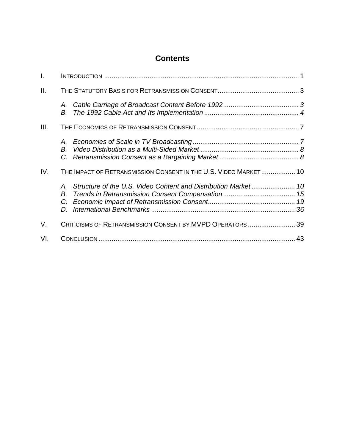# **Contents**

| $\mathbf{L}$ |          |                                                                  |  |
|--------------|----------|------------------------------------------------------------------|--|
| Ш.           |          |                                                                  |  |
|              | В.       |                                                                  |  |
| III.         |          |                                                                  |  |
|              | А.<br>В. |                                                                  |  |
| IV.          | В.       | THE IMPACT OF RETRANSMISSION CONSENT IN THE U.S. VIDEO MARKET 10 |  |
| V.           |          | CRITICISMS OF RETRANSMISSION CONSENT BY MVPD OPERATORS  39       |  |
| VI.          |          |                                                                  |  |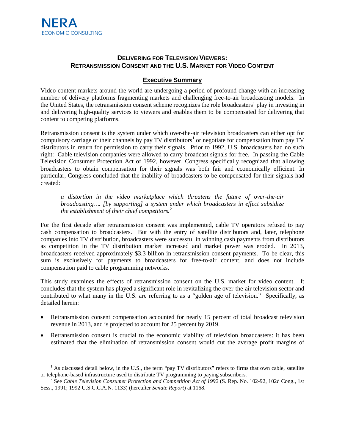$\overline{a}$ 

### **DELIVERING FOR TELEVISION VIEWERS: RETRANSMISSION CONSENT AND THE U.S. MARKET FOR VIDEO CONTENT**

#### **Executive Summary**

Video content markets around the world are undergoing a period of profound change with an increasing number of delivery platforms fragmenting markets and challenging free-to-air broadcasting models. In the United States, the retransmission consent scheme recognizes the role broadcasters' play in investing in and delivering high-quality services to viewers and enables them to be compensated for delivering that content to competing platforms.

Retransmission consent is the system under which over-the-air television broadcasters can either opt for compulsory carriage of their channels by pay TV distributors<sup>[1](#page-3-0)</sup> or negotiate for compensation from pay TV distributors in return for permission to carry their signals. Prior to 1992, U.S. broadcasters had no such right: Cable television companies were allowed to carry broadcast signals for free. In passing the Cable Television Consumer Protection Act of 1992, however, Congress specifically recognized that allowing broadcasters to obtain compensation for their signals was both fair and economically efficient. In particular, Congress concluded that the inability of broadcasters to be compensated for their signals had created:

*a distortion in the video marketplace which threatens the future of over-the-air broadcasting…. [by supporting] a system under which broadcasters in effect subsidize the establishment of their chief competitors.* [2](#page-3-1)

For the first decade after retransmission consent was implemented, cable TV operators refused to pay cash compensation to broadcasters. But with the entry of satellite distributors and, later, telephone companies into TV distribution, broadcasters were successful in winning cash payments from distributors as competition in the TV distribution market increased and market power was eroded. In 2013, broadcasters received approximately \$3.3 billion in retransmission consent payments. To be clear, this sum is exclusively for payments to broadcasters for free-to-air content, and does not include compensation paid to cable programming networks.

This study examines the effects of retransmission consent on the U.S. market for video content. It concludes that the system has played a significant role in revitalizing the over-the-air television sector and contributed to what many in the U.S. are referring to as a "golden age of television." Specifically, as detailed herein:

- Retransmission consent compensation accounted for nearly 15 percent of total broadcast television revenue in 2013, and is projected to account for 25 percent by 2019.
- Retransmission consent is crucial to the economic viability of television broadcasters: it has been estimated that the elimination of retransmission consent would cut the average profit margins of

<span id="page-3-0"></span> $1$  As discussed detail below, in the U.S., the term "pay TV distributors" refers to firms that own cable, satellite or telephone-based infrastructure used to distribute TV programming to paying subscribers.

<span id="page-3-1"></span><sup>&</sup>lt;sup>2</sup> See Cable Television Consumer Protection and Competition Act of 1992 (S. Rep. No. 102-92, 102d Cong., 1st Sess., 1991; 1992 U.S.C.C.A.N. 1133) (hereafter *Senate Report*) at 1168.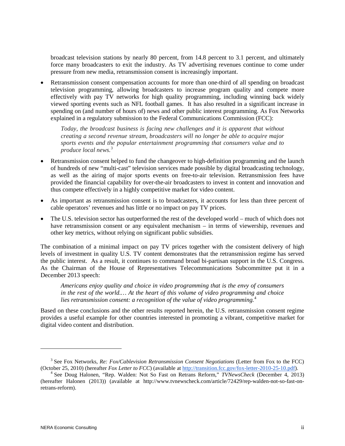broadcast television stations by nearly 80 percent, from 14.8 percent to 3.1 percent, and ultimately force many broadcasters to exit the industry. As TV advertising revenues continue to come under pressure from new media, retransmission consent is increasingly important.

• Retransmission consent compensation accounts for more than one-third of all spending on broadcast television programming, allowing broadcasters to increase program quality and compete more effectively with pay TV networks for high quality programming, including winning back widely viewed sporting events such as NFL football games. It has also resulted in a significant increase in spending on (and number of hours of) news and other public interest programming. As Fox Networks explained in a regulatory submission to the Federal Communications Commission (FCC):

*Today, the broadcast business is facing new challenges and it is apparent that without creating a second revenue stream, broadcasters will no longer be able to acquire major sports events and the popular entertainment programming that consumers value and to produce local news.* [3](#page-4-0)

- Retransmission consent helped to fund the changeover to high-definition programming and the launch of hundreds of new "multi-cast" television services made possible by digital broadcasting technology, as well as the airing of major sports events on free-to-air television. Retransmission fees have provided the financial capability for over-the-air broadcasters to invest in content and innovation and thus compete effectively in a highly competitive market for video content.
- As important as retransmission consent is to broadcasters, it accounts for less than three percent of cable operators' revenues and has little or no impact on pay TV prices.
- The U.S. television sector has outperformed the rest of the developed world much of which does not have retransmission consent or any equivalent mechanism – in terms of viewership, revenues and other key metrics, without relying on significant public subsidies.

The combination of a minimal impact on pay TV prices together with the consistent delivery of high levels of investment in quality U.S. TV content demonstrates that the retransmission regime has served the public interest. As a result, it continues to command broad bi-partisan support in the U.S. Congress. As the Chairman of the House of Representatives Telecommunications Subcommittee put it in a December 2013 speech:

*Americans enjoy quality and choice in video programming that is the envy of consumers in the rest of the world.… At the heart of this volume of video programming and choice lies retransmission consent: a recognition of the value of video programming.*[4](#page-4-1)

Based on these conclusions and the other results reported herein, the U.S. retransmission consent regime provides a useful example for other countries interested in promoting a vibrant, competitive market for digital video content and distribution.

<span id="page-4-0"></span><sup>&</sup>lt;sup>3</sup> See Fox Networks, *Re: Fox/Cablevision Retransmission Consent Negotiations* (Letter from Fox to the FCC) (October 25, 2010) (hereafter *Fox Letter to FCC*) (available at http://transition.fcc.gov/fox-letter-2010-25-10.

<span id="page-4-1"></span><sup>&</sup>lt;sup>4</sup> See Doug Halonen, "Rep. Walden: Not So Fast on Retrans Reform," TVNewsCheck (December 4, 2013) (hereafter Halonen (2013)) (available at http://www.tvnewscheck.com/article/72429/rep-walden-not-so-fast-onretrans-reform).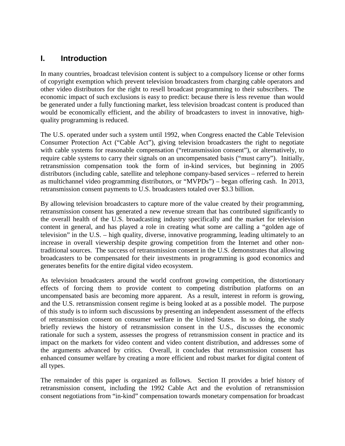## **I. Introduction**

In many countries, broadcast television content is subject to a compulsory license or other forms of copyright exemption which prevent television broadcasters from charging cable operators and other video distributors for the right to resell broadcast programming to their subscribers. The economic impact of such exclusions is easy to predict: because there is less revenue than would be generated under a fully functioning market, less television broadcast content is produced than would be economically efficient, and the ability of broadcasters to invest in innovative, highquality programming is reduced.

The U.S. operated under such a system until 1992, when Congress enacted the Cable Television Consumer Protection Act ("Cable Act"), giving television broadcasters the right to negotiate with cable systems for reasonable compensation ("retransmission consent"), or alternatively, to require cable systems to carry their signals on an uncompensated basis ("must carry"). Initially, retransmission compensation took the form of in-kind services, but beginning in 2005 distributors (including cable, satellite and telephone company-based services – referred to herein as multichannel video programming distributors, or "MVPDs") – began offering cash. In 2013, retransmission consent payments to U.S. broadcasters totaled over \$3.3 billion.

By allowing television broadcasters to capture more of the value created by their programming, retransmission consent has generated a new revenue stream that has contributed significantly to the overall health of the U.S. broadcasting industry specifically and the market for television content in general, and has played a role in creating what some are calling a "golden age of television" in the U.S. – high quality, diverse, innovative programming, leading ultimately to an increase in overall viewership despite growing competition from the Internet and other nontraditional sources. The success of retransmission consent in the U.S. demonstrates that allowing broadcasters to be compensated for their investments in programming is good economics and generates benefits for the entire digital video ecosystem.

As television broadcasters around the world confront growing competition, the distortionary effects of forcing them to provide content to competing distribution platforms on an uncompensated basis are becoming more apparent. As a result, interest in reform is growing, and the U.S. retransmission consent regime is being looked at as a possible model. The purpose of this study is to inform such discussions by presenting an independent assessment of the effects of retransmission consent on consumer welfare in the United States. In so doing, the study briefly reviews the history of retransmission consent in the U.S., discusses the economic rationale for such a system, assesses the progress of retransmission consent in practice and its impact on the markets for video content and video content distribution, and addresses some of the arguments advanced by critics. Overall, it concludes that retransmission consent has enhanced consumer welfare by creating a more efficient and robust market for digital content of all types.

The remainder of this paper is organized as follows. Section II provides a brief history of retransmission consent, including the 1992 Cable Act and the evolution of retransmission consent negotiations from "in-kind" compensation towards monetary compensation for broadcast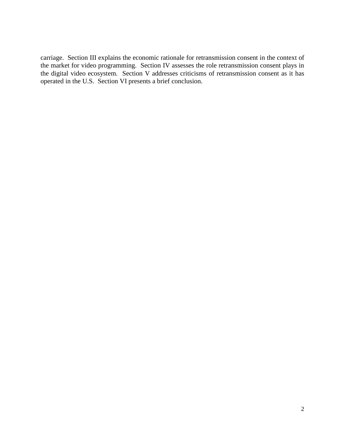carriage. Section III explains the economic rationale for retransmission consent in the context of the market for video programming. Section IV assesses the role retransmission consent plays in the digital video ecosystem. Section V addresses criticisms of retransmission consent as it has operated in the U.S. Section VI presents a brief conclusion.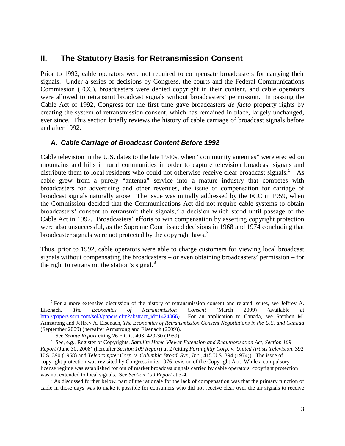## **II. The Statutory Basis for Retransmission Consent**

Prior to 1992, cable operators were not required to compensate broadcasters for carrying their signals. Under a series of decisions by Congress, the courts and the Federal Communications Commission (FCC), broadcasters were denied copyright in their content, and cable operators were allowed to retransmit broadcast signals without broadcasters' permission. In passing the Cable Act of 1992, Congress for the first time gave broadcasters *de facto* property rights by creating the system of retransmission consent, which has remained in place, largely unchanged, ever since. This section briefly reviews the history of cable carriage of broadcast signals before and after 1992.

### *A. Cable Carriage of Broadcast Content Before 1992*

Cable television in the U.S. dates to the late 1940s, when "community antennas" were erected on mountains and hills in rural communities in order to capture television broadcast signals and distribute them to local residents who could not otherwise receive clear broadcast signals.<sup>[5](#page-7-0)</sup> As cable grew from a purely "antenna" service into a mature industry that competes with broadcasters for advertising and other revenues, the issue of compensation for carriage of broadcast signals naturally arose. The issue was initially addressed by the FCC in 1959, when the Commission decided that the Communications Act did not require cable systems to obtain broadcasters' consent to retransmit their signals, [6](#page-7-1) a decision which stood until passage of the Cable Act in 1992. Broadcasters' efforts to win compensation by asserting copyright protection were also unsuccessful, as the Supreme Court issued decisions in 1968 and 1974 concluding that broadcaster signals were not protected by the copyright laws.<sup>[7](#page-7-2)</sup>

Thus, prior to 1992, cable operators were able to charge customers for viewing local broadcast signals without compensating the broadcasters – or even obtaining broadcasters' permission – for the right to retransmit the station's signal. $8$ 

<span id="page-7-0"></span> $<sup>5</sup>$  For a more extensive discussion of the history of retransmission consent and related issues, see Jeffrey A.</sup> Eisenach, *The Economics of Retransmission Consent* (March 2009) (available at [http://papers.ssrn.com/sol3/papers.cfm?abstract\\_id=1424066\)](http://papers.ssrn.com/sol3/papers.cfm?abstract_id=1424066). For an application to Canada, see Stephen M. Armstrong and Jeffrey A. Eisenach, *The Economics of Retransmission Consent Negotiations in the U.S. and Canada* (September 2009) (hereafter Armstrong and Eisenach (2009)).<br><sup>6</sup> See Senate Report citing 26 F.C.C. 403, 429-30 (1959).

<span id="page-7-2"></span><span id="page-7-1"></span><sup>&</sup>lt;sup>6</sup> See *Senate Report* citing 26 F.C.C. 403, 429-30 (1959).<br><sup>7</sup> See, e.g., Register of Copyrights, *Satellite Home Viewer Extension and Reauthorization Act, Section 109 Report* (June 30, 2008) (hereafter *Section 109 Report*) at 2 (citing *Fortnightly Corp. v. United Artists Television*, 392 U.S. 390 (1968) and *Teleprompter Corp. v. Columbia Broad. Sys., Inc.,* 415 U.S. 394 (1974)). The issue of copyright protection was revisited by Congress in its 1976 revision of the Copyright Act. While a compulsory license regime was established for out of market broadcast signals carried by cable operators, copyright protection was not extended to local signals. See *Section 109 Report* at 3-4.<br><sup>8</sup> As discussed further below, part of the rationale for the lack of compensation was that the primary function of

<span id="page-7-3"></span>cable in those days was to make it possible for consumers who did not receive clear over the air signals to receive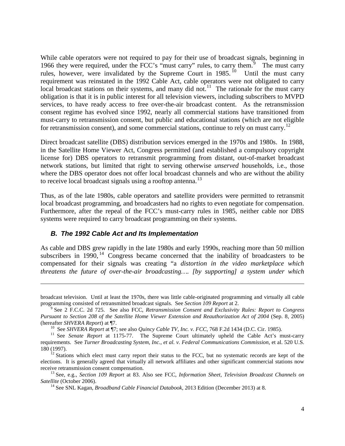While cable operators were not required to pay for their use of broadcast signals, beginning in 1[9](#page-8-0)66 they were required, under the FCC's "must carry" rules, to carry them.<sup>9</sup> The must carry rules, however, were invalidated by the Supreme Court in  $1985$ . <sup>[10](#page-8-1)</sup> Until the must carry requirement was reinstated in the 1992 Cable Act, cable operators were not obligated to carry local broadcast stations on their systems, and many did not.<sup>[11](#page-8-2)</sup> The rationale for the must carry obligation is that it is in public interest for all television viewers, including subscribers to MVPD services, to have ready access to free over-the-air broadcast content. As the retransmission consent regime has evolved since 1992, nearly all commercial stations have transitioned from must-carry to retransmission consent, but public and educational stations (which are not eligible for retransmission consent), and some commercial stations, continue to rely on must carry.<sup>[12](#page-8-3)</sup>

Direct broadcast satellite (DBS) distribution services emerged in the 1970s and 1980s. In 1988, in the Satellite Home Viewer Act, Congress permitted (and established a compulsory copyright license for) DBS operators to retransmit programming from distant, out-of-market broadcast network stations, but limited that right to serving otherwise *unserved* households, i.e., those where the DBS operator does not offer local broadcast channels and who are without the ability to receive local broadcast signals using a rooftop antenna.<sup>[13](#page-8-4)</sup>

Thus, as of the late 1980s, cable operators and satellite providers were permitted to retransmit local broadcast programming, and broadcasters had no rights to even negotiate for compensation. Furthermore, after the repeal of the FCC's must-carry rules in 1985, neither cable nor DBS systems were required to carry broadcast programming on their systems.

#### *B. The 1992 Cable Act and Its Implementation*

 $\overline{a}$ 

As cable and DBS grew rapidly in the late 1980s and early 1990s, reaching more than 50 million subscribers in 1990,  $14$  Congress became concerned that the inability of broadcasters to be compensated for their signals was creating "a *distortion in the video marketplace which threatens the future of over-the-air broadcasting…. [by supporting] a system under which* 

broadcast television. Until at least the 1970s, there was little cable-originated programming and virtually all cable programming consisted of retransmitted broadcast signals. See *Section 109 Report* at 2.<br><sup>9</sup> See 2 F.C.C. 2d 725. See also FCC, *Retransmission Consent and Exclusivity Rules: Report to Congress* 

<span id="page-8-0"></span>*Pursuant to Section 208 of the Satellite Home Viewer Extension and Reauthorization Act of 2004* (Sep. 8, 2005) (hereafter *SHVERA Report*) at  $\P$ 7.<br><sup>10</sup> See *SHVERA Report* at  $\P$ 7; see also *Quincy Cable TV, Inc. v. FCC*, 768 F.2d 1434 (D.C. Cir. 1985).<br><sup>11</sup> See *Senate Report* at 1175-77. The Supreme Court ultimately upheld the

<span id="page-8-2"></span><span id="page-8-1"></span>requirements. See *Turner Broadcasting System, Inc., et al. v. Federal Communications Commission*, et al. 520 U.S. 180 (1997).<br><sup>12</sup> Stations which elect must carry report their status to the FCC, but no systematic records are kept of the

<span id="page-8-3"></span>elections. It is generally agreed that virtually all network affiliates and other significant commercial stations now receive retransmission consent compensation. 13 See, e.g., *Section 109 Report* at 83. Also see FCC, *Information Sheet, Television Broadcast Channels on* 

<span id="page-8-5"></span><span id="page-8-4"></span>*Satellite* (October 2006). <sup>14</sup> See SNL Kagan, *Broadband Cable Financial Databook*, 2013 Edition (December 2013) at 8.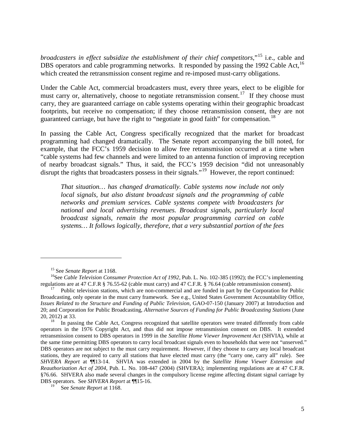*broadcasters in effect subsidize the establishment of their chief competitors*,"[15](#page-9-0) i.e., cable and DBS operators and cable programming networks. It responded by passing the 1992 Cable Act.<sup>[16](#page-9-1)</sup> which created the retransmission consent regime and re-imposed must-carry obligations.

Under the Cable Act, commercial broadcasters must, every three years, elect to be eligible for must carry or, alternatively, choose to negotiate retransmission consent.<sup>[17](#page-9-2)</sup> If they choose must carry, they are guaranteed carriage on cable systems operating within their geographic broadcast footprints, but receive no compensation; if they choose retransmission consent, they are not guaranteed carriage, but have the right to "negotiate in good faith" for compensation.<sup>[18](#page-9-3)</sup>

In passing the Cable Act, Congress specifically recognized that the market for broadcast programming had changed dramatically. The Senate report accompanying the bill noted, for example, that the FCC's 1959 decision to allow free retransmission occurred at a time when "cable systems had few channels and were limited to an antenna function of improving reception of nearby broadcast signals." Thus, it said, the FCC's 1959 decision "did not unreasonably disrupt the rights that broadcasters possess in their signals."<sup>19</sup> However, the report continued:

*That situation… has changed dramatically. Cable systems now include not only local signals, but also distant broadcast signals and the programming of cable networks and premium services. Cable systems compete with broadcasters for national and local advertising revenues. Broadcast signals, particularly local broadcast signals, remain the most popular programming carried on cable systems… It follows logically, therefore, that a very substantial portion of the fees* 

<span id="page-9-1"></span><span id="page-9-0"></span><sup>&</sup>lt;sup>15</sup> See *Senate Report* at 1168.<br><sup>16</sup>See *Cable Television Consumer Protection Act of 1992*, Pub. L. No. 102-385 (1992); the FCC's implementing regulations are at 47 C.F.R § 76.55-62 (cable must carry) and 47 C.F.R. § 76.

<span id="page-9-2"></span>Public television stations, which are non-commercial and are funded in part by the Corporation for Public Broadcasting, only operate in the must carry framework. See e.g., United States Government Accountability Office, *Issues Related to the Structure and Funding of Public Television*, GAO-07-150 (January 2007) at Introduction and 20; and Corporation for Public Broadcasting, *Alternative Sources of Funding for Public Broadcasting Stations* (June 20, 2012) at 33.<br><sup>18</sup> In passing the Cable Act, Congress recognized that satellite operators were treated differently from cable

<span id="page-9-3"></span>operators in the 1976 Copyright Act, and thus did not impose retransmission consent on DBS. It extended retransmission consent to DBS operators in 1999 in the *Satellite Home Viewer Improvement Act* (SHVIA), while at the same time permitting DBS operators to carry local broadcast signals even to households that were not "unserved." DBS operators are not subject to the must carry requirement. However, if they choose to carry any local broadcast stations, they are required to carry all stations that have elected must carry (the "carry one, carry all" rule). See *SHVERA Report* at ¶¶13-14. SHVIA was extended in 2004 by the *Satellite Home Viewer Extension and Reauthorization Act of 2004*, Pub. L. No. 108-447 (2004) (SHVERA); implementing regulations are at 47 C.F.R. §76.66. SHVERA also made several changes in the compulsory license regime affecting distant signal carriage by DBS operators. See *SHVERA Report* at ¶¶15-16.

<span id="page-9-4"></span>See *Senate Report* at 1168.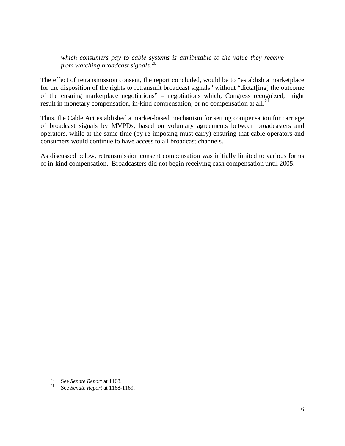*which consumers pay to cable systems is attributable to the value they receive from watching broadcast signals.*[20](#page-10-0)

The effect of retransmission consent, the report concluded, would be to "establish a marketplace for the disposition of the rights to retransmit broadcast signals" without "dictat[ing] the outcome of the ensuing marketplace negotiations" – negotiations which, Congress recognized, might result in monetary compensation, in-kind compensation, or no compensation at all.<sup>[21](#page-10-1)</sup>

Thus, the Cable Act established a market-based mechanism for setting compensation for carriage of broadcast signals by MVPDs, based on voluntary agreements between broadcasters and operators, while at the same time (by re-imposing must carry) ensuring that cable operators and consumers would continue to have access to all broadcast channels.

As discussed below, retransmission consent compensation was initially limited to various forms of in-kind compensation. Broadcasters did not begin receiving cash compensation until 2005.

<span id="page-10-1"></span><span id="page-10-0"></span><sup>20</sup> See *Senate Report* at 1168. <sup>21</sup> See *Senate Report* at 1168-1169.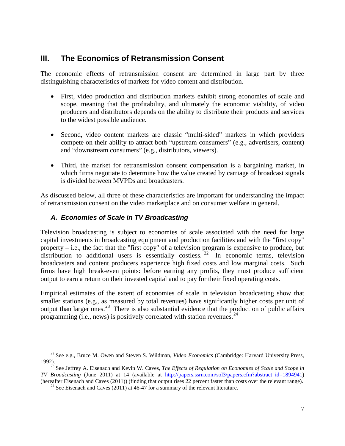## **III. The Economics of Retransmission Consent**

The economic effects of retransmission consent are determined in large part by three distinguishing characteristics of markets for video content and distribution.

- First, video production and distribution markets exhibit strong economies of scale and scope, meaning that the profitability, and ultimately the economic viability, of video producers and distributors depends on the ability to distribute their products and services to the widest possible audience.
- Second, video content markets are classic "multi-sided" markets in which providers compete on their ability to attract both "upstream consumers" (e.g., advertisers, content) and "downstream consumers" (e.g., distributors, viewers).
- Third, the market for retransmission consent compensation is a bargaining market, in which firms negotiate to determine how the value created by carriage of broadcast signals is divided between MVPDs and broadcasters.

As discussed below, all three of these characteristics are important for understanding the impact of retransmission consent on the video marketplace and on consumer welfare in general.

## *A. Economies of Scale in TV Broadcasting*

 $\overline{a}$ 

Television broadcasting is subject to economies of scale associated with the need for large capital investments in broadcasting equipment and production facilities and with the "first copy" property – i.e., the fact that the "first copy" of a television program is expensive to produce, but distribution to additional users is essentially costless.  $22 \times 10^{-12}$  $22 \times 10^{-12}$  In economic terms, television broadcasters and content producers experience high fixed costs and low marginal costs. Such firms have high break-even points: before earning any profits, they must produce sufficient output to earn a return on their invested capital and to pay for their fixed operating costs.

Empirical estimates of the extent of economies of scale in television broadcasting show that smaller stations (e.g., as measured by total revenues) have significantly higher costs per unit of output than larger ones.<sup>[23](#page-11-1)</sup> There is also substantial evidence that the production of public affairs programming (i.e., news) is positively correlated with station revenues.  $24$ 

<span id="page-11-0"></span><sup>22</sup> See e.g., Bruce M. Owen and Steven S. Wildman, *Video Economics* (Cambridge: Harvard University Press,

<span id="page-11-2"></span><span id="page-11-1"></span> $\frac{23}{23}$  See Jeffrey A. Eisenach and Kevin W. Caves, *The Effects of Regulation on Economies of Scale and Scope in TV Broadcasting* (June 2011) at 14 (available at [http://papers.ssrn.com/sol3/papers.cfm?abstract\\_id=1894941\)](http://papers.ssrn.com/sol3/papers.cfm?abstract_id=1894941) (hereafter Eisenach and Caves (2011)) (finding that output rises 22 percent faster than costs over the relevant range). <sup>24</sup> See Eisenach and Caves (2011) at 46-47 for a summary of the relevant literature.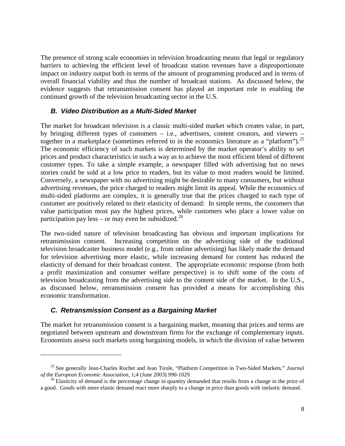The presence of strong scale economies in television broadcasting means that legal or regulatory barriers to achieving the efficient level of broadcast station revenues have a disproportionate impact on industry output both in terms of the amount of programming produced and in terms of overall financial viability and thus the number of broadcast stations. As discussed below, the evidence suggests that retransmission consent has played an important role in enabling the continued growth of the television broadcasting sector in the U.S.

#### *B. Video Distribution as a Multi-Sided Market*

The market for broadcast television is a classic multi-sided market which creates value, in part, by bringing different types of customers – i.e., advertisers, content creators, and viewers – together in a marketplace (sometimes referred to in the economics literature as a "platform").<sup>[25](#page-12-0)</sup> The economic efficiency of such markets is determined by the market operator's ability to set prices and product characteristics in such a way as to achieve the most efficient blend of different customer types. To take a simple example, a newspaper filled with advertising but no news stories could be sold at a low price to readers, but its value to most readers would be limited. Conversely, a newspaper with no advertising might be desirable to many consumers, but without advertising revenues, the price charged to readers might limit its appeal. While the economics of multi-sided platforms are complex, it is generally true that the prices charged to each type of customer are positively related to their elasticity of demand: In simple terms, the customers that value participation most pay the highest prices, while customers who place a lower value on participation pay less – or may even be subsidized.<sup>[26](#page-12-1)</sup>

The two-sided nature of television broadcasting has obvious and important implications for retransmission consent. Increasing competition on the advertising side of the traditional television broadcaster business model (e.g., from online advertising) has likely made the demand for television advertising more elastic, while increasing demand for content has reduced the elasticity of demand for their broadcast content. The appropriate economic response (from both a profit maximization and consumer welfare perspective) is to shift some of the costs of television broadcasting from the advertising side to the content side of the market. In the U.S., as discussed below, retransmission consent has provided a means for accomplishing this economic transformation.

### *C. Retransmission Consent as a Bargaining Market*

 $\overline{a}$ 

The market for retransmission consent is a bargaining market, meaning that prices and terms are negotiated between upstream and downstream firms for the exchange of complementary inputs. Economists assess such markets using bargaining models, in which the division of value between

<span id="page-12-0"></span><sup>&</sup>lt;sup>25</sup> See generally Jean-Charles Rochet and Jean Tirole, "Platform Competition in Two-Sided Markets," *Journal* of the European Economic Association, 1;4 (June 2003) 990-1029.

<span id="page-12-1"></span><sup>&</sup>lt;sup>26</sup> Elasticity of demand is the percentage change in quantity demanded that results from a change in the price of a good. Goods with more elastic demand react more sharply to a change in price than goods with inelastic demand.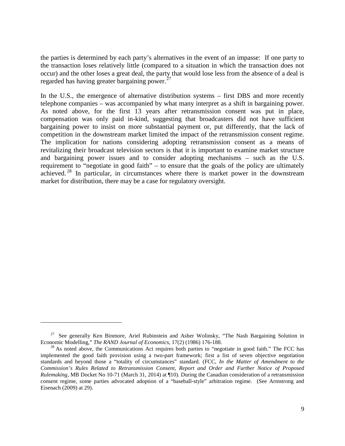the parties is determined by each party's alternatives in the event of an impasse: If one party to the transaction loses relatively little (compared to a situation in which the transaction does not occur) and the other loses a great deal, the party that would lose less from the absence of a deal is regarded has having greater bargaining power. $^{27}$  $^{27}$  $^{27}$ 

In the U.S., the emergence of alternative distribution systems – first DBS and more recently telephone companies – was accompanied by what many interpret as a shift in bargaining power. As noted above, for the first 13 years after retransmission consent was put in place, compensation was only paid in-kind, suggesting that broadcasters did not have sufficient bargaining power to insist on more substantial payment or, put differently, that the lack of competition in the downstream market limited the impact of the retransmission consent regime. The implication for nations considering adopting retransmission consent as a means of revitalizing their broadcast television sectors is that it is important to examine market structure and bargaining power issues and to consider adopting mechanisms – such as the U.S. requirement to "negotiate in good faith" – to ensure that the goals of the policy are ultimately achieved. [28](#page-13-1) In particular, in circumstances where there is market power in the downstream market for distribution, there may be a case for regulatory oversight.

<span id="page-13-0"></span><sup>&</sup>lt;sup>27</sup> See generally Ken Binmore, Ariel Rubinstein and Asher Wolinsky, "The Nash Bargaining Solution in Economic Modelling," The RAND Journal of Economics,  $17(2)$  (1986) 176-188.

<span id="page-13-1"></span><sup>&</sup>lt;sup>28</sup> As noted above, the Communications Act requires both parties to "negotiate in good faith." The FCC has implemented the good faith provision using a two-part framework; first a list of seven objective negotiation standards and beyond those a "totality of circumstances" standard. (FCC, *In the Matter of Amendment to the Commission's Rules Related to Retransmission Consent, Report and Order and Further Notice of Proposed Rulemaking*, MB Docket No 10-71 (March 31, 2014) at ¶10). During the Canadian consideration of a retransmission consent regime, some parties advocated adoption of a "baseball-style" arbitration regime. (See Armstrong and Eisenach (2009) at 29).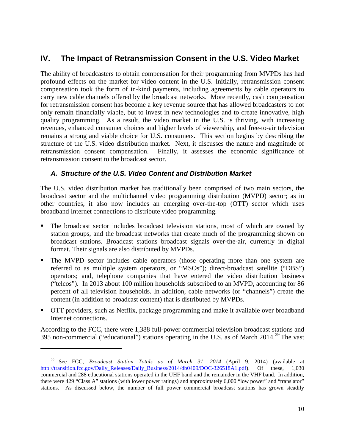# **IV. The Impact of Retransmission Consent in the U.S. Video Market**

The ability of broadcasters to obtain compensation for their programming from MVPDs has had profound effects on the market for video content in the U.S. Initially, retransmission consent compensation took the form of in-kind payments, including agreements by cable operators to carry new cable channels offered by the broadcast networks. More recently, cash compensation for retransmission consent has become a key revenue source that has allowed broadcasters to not only remain financially viable, but to invest in new technologies and to create innovative, high quality programming. As a result, the video market in the U.S. is thriving, with increasing revenues, enhanced consumer choices and higher levels of viewership, and free-to-air television remains a strong and viable choice for U.S. consumers. This section begins by describing the structure of the U.S. video distribution market. Next, it discusses the nature and magnitude of retransmission consent compensation. Finally, it assesses the economic significance of retransmission consent to the broadcast sector.

### *A. Structure of the U.S. Video Content and Distribution Market*

The U.S. video distribution market has traditionally been comprised of two main sectors, the broadcast sector and the multichannel video programming distribution (MVPD) sector; as in other countries, it also now includes an emerging over-the-top (OTT) sector which uses broadband Internet connections to distribute video programming.

- The broadcast sector includes broadcast television stations, most of which are owned by station groups, and the broadcast networks that create much of the programming shown on broadcast stations. Broadcast stations broadcast signals over-the-air, currently in digital format. Their signals are also distributed by MVPDs.
- The MVPD sector includes cable operators (those operating more than one system are referred to as multiple system operators, or "MSOs"); direct-broadcast satellite ("DBS") operators; and, telephone companies that have entered the video distribution business ("telcos"). In 2013 about 100 million households subscribed to an MVPD, accounting for 86 percent of all television households. In addition, cable networks (or "channels") create the content (in addition to broadcast content) that is distributed by MVPDs.
- OTT providers, such as Netflix, package programming and make it available over broadband Internet connections.

According to the FCC, there were 1,388 full-power commercial television broadcast stations and 395 non-commercial ("educational") stations operating in the U.S. as of March  $2014.^{29}$  $2014.^{29}$  $2014.^{29}$  The vast

<span id="page-14-0"></span><sup>29</sup> See FCC, *Broadcast Station Totals as of March 31, 2014* (April 9, 2014) (available at [http://transition.fcc.gov/Daily\\_Releases/Daily\\_Business/2014/db0409/DOC-326518A1.pdf\)](http://transition.fcc.gov/Daily_Releases/Daily_Business/2014/db0409/DOC-326518A1.pdf). Of these, 1,030 commercial and 288 educational stations operated in the UHF band and the remainder in the VHF band. In addition, there were 429 "Class A" stations (with lower power ratings) and approximately 6,000 "low power" and "translator" stations. As discussed below, the number of full power commercial broadcast stations has grown steadily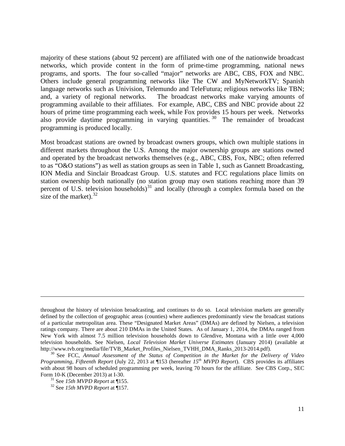majority of these stations (about 92 percent) are affiliated with one of the nationwide broadcast networks, which provide content in the form of prime-time programming, national news programs, and sports. The four so-called "major" networks are ABC, CBS, FOX and NBC. Others include general programming networks like The CW and MyNetworkTV; Spanish language networks such as Univision, Telemundo and TeleFutura; religious networks like TBN; and, a variety of regional networks. The broadcast networks make varying amounts of programming available to their affiliates. For example, ABC, CBS and NBC provide about 22 hours of prime time programming each week, while Fox provides 15 hours per week. Networks also provide daytime programming in varying quantities. [30](#page-15-0) The remainder of broadcast programming is produced locally.

Most broadcast stations are owned by broadcast owners groups, which own multiple stations in different markets throughout the U.S. Among the major ownership groups are stations owned and operated by the broadcast networks themselves (e.g., ABC, CBS, Fox, NBC; often referred to as "O&O stations") as well as station groups as seen in Table 1, such as Gannett Broadcasting, ION Media and Sinclair Broadcast Group. U.S. statutes and FCC regulations place limits on station ownership both nationally (no station group may own stations reaching more than 39 percent of U.S. television households)<sup>[31](#page-15-1)</sup> and locally (through a complex formula based on the size of the market).  $32$ 

throughout the history of television broadcasting, and continues to do so. Local television markets are generally defined by the collection of geographic areas (counties) where audiences predominantly view the broadcast stations of a particular metropolitan area. These "Designated Market Areas" (DMAs) are defined by Nielsen, a television ratings company. There are about 210 DMAs in the United States. As of January 1, 2014, the DMAs ranged from New York with almost 7.5 million television households down to Glendive, Montana with a little over 4,000 television households. See Nielsen, *Local Television Market Universe Estimates* (January 2014) (available at http://www.tvb.org/media/file/TVB\_Market\_Profiles\_Nielsen\_TVHH\_DMA\_Ranks\_2013-2014.pdf).

<span id="page-15-0"></span><sup>&</sup>lt;sup>30</sup> See FCC, *Annual Assessment of the Status of Competition in the Market for the Delivery of Video Programming, Fifteenth Report* (July 22, 2013 at ¶153 (hereafter *15th MVPD Report*). CBS provides its affiliates with about 98 hours of scheduled programming per week, leaving 70 hours for the affiliate. See CBS Corp., SEC

<span id="page-15-2"></span><span id="page-15-1"></span>Form 10-K (December 2013) at I-30. <sup>31</sup> See *15th MVPD Report* at ¶155. <sup>32</sup> See *15th MVPD Report* at ¶157.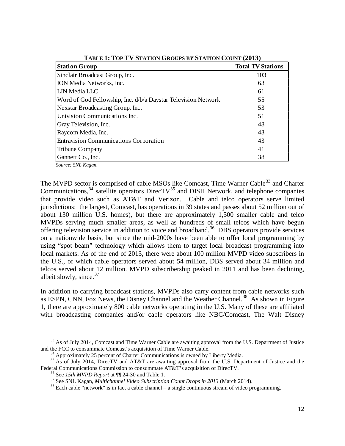| <b>Station Group</b>                                          | <b>Total TV Stations</b> |
|---------------------------------------------------------------|--------------------------|
| Sinclair Broadcast Group, Inc.                                | 103                      |
| ION Media Networks, Inc.                                      | 63                       |
| LIN Media LLC                                                 | 61                       |
| Word of God Fellowship, Inc. d/b/a Daystar Television Network | 55                       |
| Nexstar Broadcasting Group, Inc.                              | 53                       |
| Univision Communications Inc.                                 | 51                       |
| Gray Television, Inc.                                         | 48                       |
| Raycom Media, Inc.                                            | 43                       |
| <b>Entravision Communications Corporation</b>                 | 43                       |
| <b>Tribune Company</b>                                        | 41                       |
| Gannett Co., Inc.                                             | 38                       |

**TABLE 1: TOP TV STATION GROUPS BY STATION COUNT (2013)**

*Source: SNL Kagan.*

 $\overline{a}$ 

The MVPD sector is comprised of cable MSOs like Comcast, Time Warner Cable<sup>[33](#page-16-0)</sup> and Charter Communications, $34$  satellite operators DirecTV $35$  and DISH Network, and telephone companies that provide video such as AT&T and Verizon. Cable and telco operators serve limited jurisdictions: the largest, Comcast, has operations in 39 states and passes about 52 million out of about 130 million U.S. homes), but there are approximately 1,500 smaller cable and telco MVPDs serving much smaller areas, as well as hundreds of small telcos which have begun offering television service in addition to voice and broadband.<sup>36</sup> DBS operators provide services on a nationwide basis, but since the mid-2000s have been able to offer local programming by using "spot beam" technology which allows them to target local broadcast programming into local markets. As of the end of 2013, there were about 100 million MVPD video subscribers in the U.S., of which cable operators served about 54 million, DBS served about 34 million and telcos served about 12 million. MVPD subscribership peaked in 2011 and has been declining, albeit slowly, since. $37$ 

In addition to carrying broadcast stations, MVPDs also carry content from cable networks such as ESPN, CNN, Fox News, the Disney Channel and the Weather Channel.<sup>[38](#page-16-5)</sup> As shown in Figure [1,](#page-17-0) there are approximately 800 cable networks operating in the U.S. Many of these are affiliated with broadcasting companies and/or cable operators like NBC/Comcast, The Walt Disney

<span id="page-16-0"></span><sup>&</sup>lt;sup>33</sup> As of July 2014, Comcast and Time Warner Cable are awaiting approval from the U.S. Department of Justice and the FCC to consummate Comcast's acquisition of Time Warner Cable.

<span id="page-16-4"></span><span id="page-16-3"></span><span id="page-16-2"></span><span id="page-16-1"></span><sup>&</sup>lt;sup>34</sup> Approximately 25 percent of Charter Communications is owned by Liberty Media.<br><sup>35</sup> As of July 2014, DirecTV and AT&T are awaiting approval from the U.S. Department of Justice and the Federal Communications Commission to consummate AT&T's acquisition of DirecTV.<br><sup>36</sup> See 15th MVPD Report at  $\P$  24-30 and Table 1.<br><sup>37</sup> See SNL Kagan, *Multichannel Video Subscription Count Drops in 2013* (March 2014).<br><sup>3</sup>

<span id="page-16-5"></span>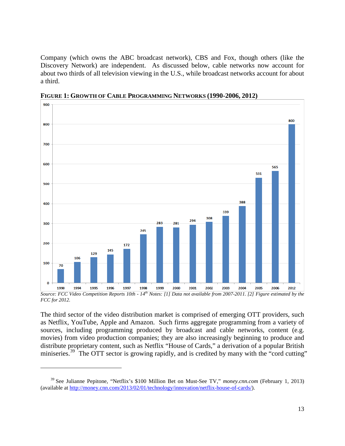Company (which owns the ABC broadcast network), CBS and Fox, though others (like the Discovery Network) are independent. As discussed below, cable networks now account for about two thirds of all television viewing in the U.S., while broadcast networks account for about a third.



<span id="page-17-0"></span>**FIGURE 1: GROWTH OF CABLE PROGRAMMING NETWORKS (1990-2006, 2012)**

The third sector of the video distribution market is comprised of emerging OTT providers, such as Netflix, YouTube, Apple and Amazon. Such firms aggregate programming from a variety of sources, including programming produced by broadcast and cable networks, content (e.g. movies) from video production companies; they are also increasingly beginning to produce and distribute proprietary content, such as Netflix "House of Cards," a derivation of a popular British miniseries.<sup>39</sup> The OTT sector is growing rapidly, and is credited by many with the "cord cutting"

*Source: FCC Video Competition Reports 10th - 14th Notes: [1] Data not available from 2007-2011. [2] Figure estimated by the FCC for 2012.*

<span id="page-17-1"></span><sup>39</sup> See Julianne Pepitone, "Netflix's \$100 Million Bet on Must-See TV," *money.cnn.com* (February 1, 2013) (available a[t http://money.cnn.com/2013/02/01/technology/innovation/netflix-house-of-cards/\)](http://money.cnn.com/2013/02/01/technology/innovation/netflix-house-of-cards/).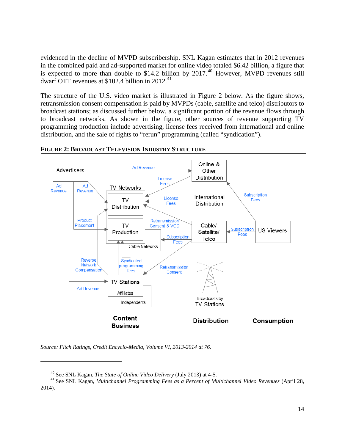evidenced in the decline of MVPD subscribership. SNL Kagan estimates that in 2012 revenues in the combined paid and ad-supported market for online video totaled \$6.42 billion, a figure that is expected to more than double to \$14.2 billion by  $2017<sup>40</sup>$  $2017<sup>40</sup>$  $2017<sup>40</sup>$  However, MVPD revenues still dwarf OTT revenues at  $$102.4$  billion in 2012.<sup>[41](#page-18-2)</sup>

The structure of the U.S. video market is illustrated in [Figure 2](#page-18-0) below. As the figure shows, retransmission consent compensation is paid by MVPDs (cable, satellite and telco) distributors to broadcast stations; as discussed further below, a significant portion of the revenue flows through to broadcast networks. As shown in the figure, other sources of revenue supporting TV programming production include advertising, license fees received from international and online distribution, and the sale of rights to "rerun" programming (called "syndication").



<span id="page-18-0"></span>**FIGURE 2: BROADCAST TELEVISION INDUSTRY STRUCTURE**

*Source: Fitch Ratings, Credit Encyclo-Media, Volume VI, 2013-2014 at 76.*

<span id="page-18-2"></span><span id="page-18-1"></span><sup>40</sup> See SNL Kagan, *The State of Online Video Delivery* (July 2013) at 4-5. <sup>41</sup> See SNL Kagan, *Multichannel Programming Fees as a Percent of Multichannel Video Revenues* (April 28, 2014).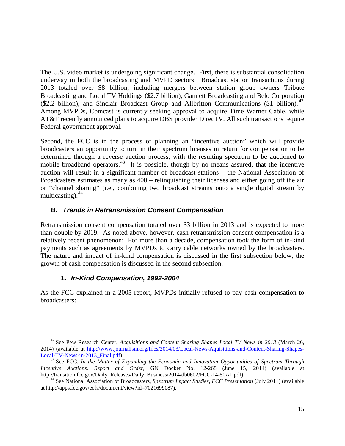The U.S. video market is undergoing significant change. First, there is substantial consolidation underway in both the broadcasting and MVPD sectors. Broadcast station transactions during 2013 totaled over \$8 billion, including mergers between station group owners Tribute Broadcasting and Local TV Holdings (\$2.7 billion), Gannett Broadcasting and Belo Corporation  $(\$2.2 \text{ billion})$ , and Sinclair Broadcast Group and Allbritton Communications  $(\$1 \text{ billion})$ .<sup>[42](#page-19-0)</sup> Among MVPDs, Comcast is currently seeking approval to acquire Time Warner Cable, while AT&T recently announced plans to acquire DBS provider DirecTV. All such transactions require Federal government approval.

Second, the FCC is in the process of planning an "incentive auction" which will provide broadcasters an opportunity to turn in their spectrum licenses in return for compensation to be determined through a reverse auction process, with the resulting spectrum to be auctioned to mobile broadband operators.<sup>43</sup> It is possible, though by no means assured, that the incentive auction will result in a significant number of broadcast stations – the National Association of Broadcasters estimates as many as 400 – relinquishing their licenses and either going off the air or "channel sharing" (i.e., combining two broadcast streams onto a single digital stream by multicasting). [44](#page-19-2)

## *B. Trends in Retransmission Consent Compensation*

Retransmission consent compensation totaled over \$3 billion in 2013 and is expected to more than double by 2019. As noted above, however, cash retransmission consent compensation is a relatively recent phenomenon: For more than a decade, compensation took the form of in-kind payments such as agreements by MVPDs to carry cable networks owned by the broadcasters. The nature and impact of in-kind compensation is discussed in the first subsection below; the growth of cash compensation is discussed in the second subsection.

### **1.** *In-Kind Compensation, 1992-2004*

 $\overline{a}$ 

As the FCC explained in a 2005 report, MVPDs initially refused to pay cash compensation to broadcasters:

<span id="page-19-0"></span><sup>42</sup> See Pew Research Center, *Acquisitions and Content Sharing Shapes Local TV News in 2013* (March 26, 2014) (available at [http://www.journalism.org/files/2014/03/Local-News-Aquisitions-and-Content-Sharing-Shapes-](http://www.journalism.org/files/2014/03/Local-News-Aquisitions-and-Content-Sharing-Shapes-Local-TV-News-in-2013_Final.pdf)[Local-TV-News-in-2013\\_Final.pdf\)](http://www.journalism.org/files/2014/03/Local-News-Aquisitions-and-Content-Sharing-Shapes-Local-TV-News-in-2013_Final.pdf). <sup>43</sup> See FCC, *In the Matter of Expanding the Economic and Innovation Opportunities of Spectrum Through* 

<span id="page-19-1"></span>*Incentive Auctions, Report and Order*, GN Docket No. 12-268 (June 15, 2014) (available at http://transition.fcc.gov/Daily\_Releases/Daily\_Business/2014/db0602/FCC-14-50A1.pdf).

<span id="page-19-2"></span><sup>&</sup>lt;sup>44</sup> See National Association of Broadcasters, *Spectrum Impact Studies, FCC Presentation* (July 2011) (available at http://apps.fcc.gov/ecfs/document/view?id=7021699087).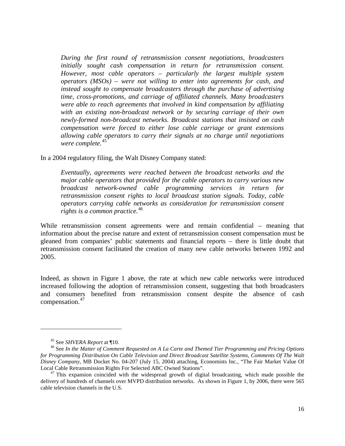*During the first round of retransmission consent negotiations, broadcasters initially sought cash compensation in return for retransmission consent. However, most cable operators – particularly the largest multiple system operators (MSOs) – were not willing to enter into agreements for cash, and instead sought to compensate broadcasters through the purchase of advertising time, cross-promotions, and carriage of affiliated channels. Many broadcasters were able to reach agreements that involved in kind compensation by affiliating with an existing non-broadcast network or by securing carriage of their own newly-formed non-broadcast networks. Broadcast stations that insisted on cash compensation were forced to either lose cable carriage or grant extensions allowing cable operators to carry their signals at no charge until negotiations were complete.*[45](#page-20-0)

In a 2004 regulatory filing, the Walt Disney Company stated:

*Eventually, agreements were reached between the broadcast networks and the major cable operators that provided for the cable operators to carry various new broadcast network-owned cable programming services in return for retransmission consent rights to local broadcast station signals. Today, cable operators carrying cable networks as consideration for retransmission consent rights is a common practice.*[46](#page-20-1)

While retransmission consent agreements were and remain confidential – meaning that information about the precise nature and extent of retransmission consent compensation must be gleaned from companies' public statements and financial reports – there is little doubt that retransmission consent facilitated the creation of many new cable networks between 1992 and 2005.

Indeed, as shown in Figure 1 above, the rate at which new cable networks were introduced increased following the adoption of retransmission consent, suggesting that both broadcasters and consumers benefited from retransmission consent despite the absence of cash compensation.<sup>[47](#page-20-2)</sup>

<span id="page-20-1"></span><span id="page-20-0"></span><sup>&</sup>lt;sup>45</sup> See *SHVERA Report* at ¶10.<br><sup>46</sup> See *In the Matter of Comment Requested on A La Carte and Themed Tier Programming and Pricing Options for Programming Distribution On Cable Television and Direct Broadcast Satellite Systems, Comments Of The Walt Disney Company*, MB Docket No. 04-207 (July 15, 2004) attaching, Economists Inc., "The Fair Market Value Of Local Cable Retransmission Rights For Selected ABC Owned Stations". <sup>47</sup> This expansion coincided with the widespread growth of digital broadcasting, which made possible the

<span id="page-20-2"></span>delivery of hundreds of channels over MVPD distribution networks. As shown in Figure 1, by 2006, there were 565 cable television channels in the U.S.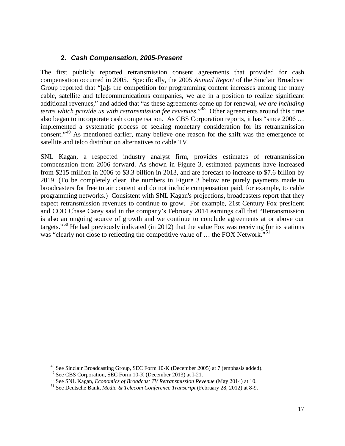#### **2.** *Cash Compensation, 2005-Present*

The first publicly reported retransmission consent agreements that provided for cash compensation occurred in 2005. Specifically, the 2005 *Annual Report* of the Sinclair Broadcast Group reported that "[a]s the competition for programming content increases among the many cable, satellite and telecommunications companies, we are in a position to realize significant additional revenues," and added that "as these agreements come up for renewal, *we are including terms which provide us with retransmission fee revenues.*<sup>[48](#page-21-0)</sup> Other agreements around this time also began to incorporate cash compensation. As CBS Corporation reports, it has "since 2006 … implemented a systematic process of seeking monetary consideration for its retransmission consent."<sup>[49](#page-21-1)</sup> As mentioned earlier, many believe one reason for the shift was the emergence of satellite and telco distribution alternatives to cable TV.

SNL Kagan, a respected industry analyst firm, provides estimates of retransmission compensation from 2006 forward. As shown in Figure 3, estimated payments have increased from \$215 million in 2006 to \$3.3 billion in 2013, and are forecast to increase to \$7.6 billion by 2019. (To be completely clear, the numbers in Figure 3 below are purely payments made to broadcasters for free to air content and do not include compensation paid, for example, to cable programming networks.) Consistent with SNL Kagan's projections, broadcasters report that they expect retransmission revenues to continue to grow. For example, 21st Century Fox president and COO Chase Carey said in the company's February 2014 earnings call that "Retransmission is also an ongoing source of growth and we continue to conclude agreements at or above our targets."<sup>[50](#page-21-2)</sup> He had previously indicated (in 2012) that the value Fox was receiving for its stations was "clearly not close to reflecting the competitive value of ... the FOX Network."<sup>[51](#page-21-3)</sup>

<span id="page-21-0"></span><sup>&</sup>lt;sup>48</sup> See Sinclair Broadcasting Group, SEC Form  $10$ -K (December 2005) at 7 (emphasis added).<br><sup>49</sup> See CBS Corporation, SEC Form  $10$ -K (December 2013) at I-21.

<span id="page-21-3"></span><span id="page-21-2"></span><span id="page-21-1"></span><sup>&</sup>lt;sup>50</sup> See SNL Kagan, *Economics of Broadcast TV Retransmission Revenue* (May 2014) at 10.<br><sup>51</sup> See Deutsche Bank, *Media & Telecom Conference Transcript* (February 28, 2012) at 8-9.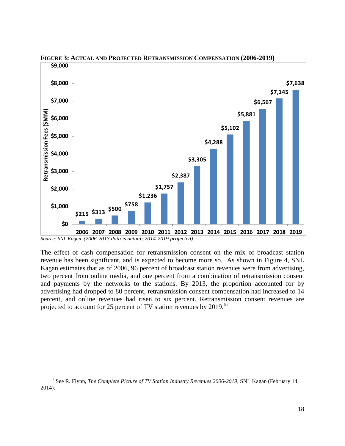

**FIGURE 3: ACTUAL AND PROJECTED RETRANSMISSION COMPENSATION (2006-2019)**

 $\overline{a}$ 

The effect of cash compensation for retransmission consent on the mix of broadcast station revenue has been significant, and is expected to become more so. As shown in Figure 4, SNL Kagan estimates that as of 2006, 96 percent of broadcast station revenues were from advertising, two percent from online media, and one percent from a combination of retransmission consent and payments by the networks to the stations. By 2013, the proportion accounted for by advertising had dropped to 80 percent, retransmission consent compensation had increased to 14 percent, and online revenues had risen to six percent. Retransmission consent revenues are projected to account for 25 percent of TV station revenues by 2019.<sup>[52](#page-22-0)</sup>

*Source: SNL Kagan. (2006-2013 data is actual; 2014-2019 projected).*

<span id="page-22-0"></span><sup>52</sup> See R. Flynn, *The Complete Picture of TV Station Industry Revenues 2006-2019*, SNL Kagan (February 14, 2014).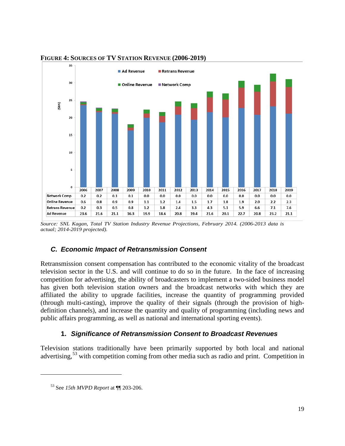

#### **FIGURE 4: SOURCES OF TV STATION REVENUE (2006-2019)**

### *C. Economic Impact of Retransmission Consent*

Retransmission consent compensation has contributed to the economic vitality of the broadcast television sector in the U.S. and will continue to do so in the future. In the face of increasing competition for advertising, the ability of broadcasters to implement a two-sided business model has given both television station owners and the broadcast networks with which they are affiliated the ability to upgrade facilities, increase the quantity of programming provided (through multi-casting), improve the quality of their signals (through the provision of highdefinition channels), and increase the quantity and quality of programming (including news and public affairs programming, as well as national and international sporting events).

### **1.** *Significance of Retransmission Consent to Broadcast Revenues*

Television stations traditionally have been primarily supported by both local and national advertising,  $53$  with competition coming from other media such as radio and print. Competition in

*Source: SNL Kagan, Total TV Station Industry Revenue Projections, February 2014. (2006-2013 data is actual; 2014-2019 projected).*

<span id="page-23-0"></span><sup>53</sup> See *15th MVPD Report* at ¶¶ 203-206.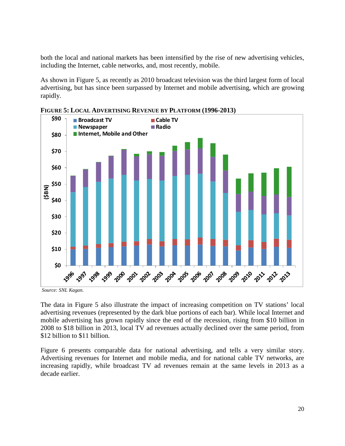both the local and national markets has been intensified by the rise of new advertising vehicles, including the Internet, cable networks, and, most recently, mobile.

As shown in Figure 5, as recently as 2010 broadcast television was the third largest form of local advertising, but has since been surpassed by Internet and mobile advertising, which are growing rapidly.



**FIGURE 5: LOCAL ADVERTISING REVENUE BY PLATFORM (1996-2013)**

*Source: SNL Kagan.*

The data in Figure 5 also illustrate the impact of increasing competition on TV stations' local advertising revenues (represented by the dark blue portions of each bar). While local Internet and mobile advertising has grown rapidly since the end of the recession, rising from \$10 billion in 2008 to \$18 billion in 2013, local TV ad revenues actually declined over the same period, from \$12 billion to \$11 billion.

Figure 6 presents comparable data for national advertising, and tells a very similar story. Advertising revenues for Internet and mobile media, and for national cable TV networks, are increasing rapidly, while broadcast TV ad revenues remain at the same levels in 2013 as a decade earlier.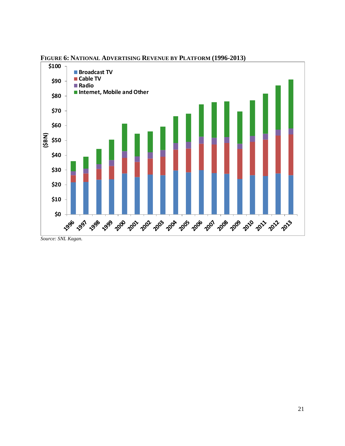

**FIGURE 6: NATIONAL ADVERTISING REVENUE BY PLATFORM (1996-2013)**

*Source: SNL Kagan.*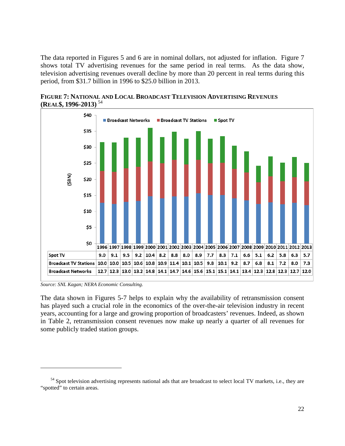The data reported in Figures 5 and 6 are in nominal dollars, not adjusted for inflation. Figure 7 shows total TV advertising revenues for the same period in real terms. As the data show, television advertising revenues overall decline by more than 20 percent in real terms during this period, from \$31.7 billion in 1996 to \$25.0 billion in 2013.



**FIGURE 7: NATIONAL AND LOCAL BROADCAST TELEVISION ADVERTISING REVENUES (REAL\$, 1996-2013)** [54](#page-26-0)

*Source: SNL Kagan; NERA Economic Consulting.*

 $\overline{a}$ 

The data shown in Figures 5-7 helps to explain why the availability of retransmission consent has played such a crucial role in the economics of the over-the-air television industry in recent years, accounting for a large and growing proportion of broadcasters' revenues. Indeed, as shown in [Table 2,](#page-27-0) retransmission consent revenues now make up nearly a quarter of all revenues for some publicly traded station groups.

<span id="page-26-0"></span> $54$  Spot television advertising represents national ads that are broadcast to select local TV markets, i.e., they are "spotted" to certain areas.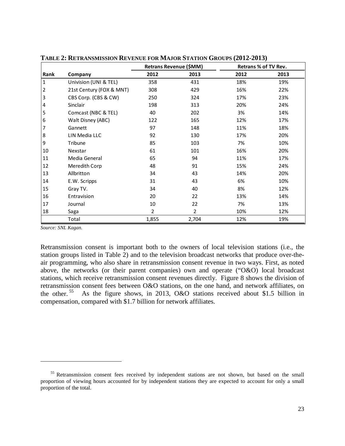|              |                          |                | Retrans Revenue (\$MM) | <b>Retrans % of TV Rev.</b> |      |  |
|--------------|--------------------------|----------------|------------------------|-----------------------------|------|--|
| Rank         | Company                  | 2012           | 2013                   | 2012                        | 2013 |  |
| $\mathbf{1}$ | Univision (UNI & TEL)    | 358            | 431                    | 18%                         | 19%  |  |
| 2            | 21st Century (FOX & MNT) | 308            | 429                    | 16%                         | 22%  |  |
| 3            | CBS Corp. (CBS & CW)     | 250            | 324                    | 17%                         | 23%  |  |
| 4            | <b>Sinclair</b>          | 198            | 313                    | 20%                         | 24%  |  |
| 5            | Comcast (NBC & TEL)      | 40             | 202                    | 3%                          | 14%  |  |
| 6            | Walt Disney (ABC)        | 122            | 165                    | 12%                         | 17%  |  |
| 7            | Gannett                  | 97             | 148                    | 11%                         | 18%  |  |
| 8            | LIN Media LLC            | 92             | 130                    | 17%                         | 20%  |  |
| 9            | Tribune                  | 85             | 103                    | 7%                          | 10%  |  |
| 10           | Nexstar                  | 61             | 101                    | 16%                         | 20%  |  |
| 11           | Media General            | 65             | 94                     | 11%                         | 17%  |  |
| 12           | Meredith Corp            | 48             | 91                     | 15%                         | 24%  |  |
| 13           | Allbritton               | 34             | 43                     | 14%                         | 20%  |  |
| 14           | E.W. Scripps             | 31             | 43                     | 6%                          | 10%  |  |
| 15           | Gray TV.                 | 34             | 40                     | 8%                          | 12%  |  |
| 16           | Entravision              | 20             | 22                     | 13%                         | 14%  |  |
| 17           | Journal                  | 10             | 22                     | 7%                          | 13%  |  |
| 18           | Saga                     | $\overline{2}$ | $\overline{2}$         | 10%                         | 12%  |  |
|              | Total                    | 1,855          | 2,704                  | 12%                         | 19%  |  |

<span id="page-27-0"></span>**TABLE 2: RETRANSMISSION REVENUE FOR MAJOR STATION GROUPS (2012-2013)**

*Source: SNL Kagan.*

 $\overline{a}$ 

Retransmission consent is important both to the owners of local television stations (i.e., the station groups listed in Table 2) and to the television broadcast networks that produce over-theair programming, who also share in retransmission consent revenue in two ways. First, as noted above, the networks (or their parent companies) own and operate ("O&O) local broadcast stations, which receive retransmission consent revenues directly. [Figure 8](#page-28-0) shows the division of retransmission consent fees between O&O stations, on the one hand, and network affiliates, on the other. [55](#page-27-1) As the figure shows, in 2013, O&O stations received about \$1.5 billion in compensation, compared with \$1.7 billion for network affiliates.

<span id="page-27-1"></span><sup>&</sup>lt;sup>55</sup> Retransmission consent fees received by independent stations are not shown, but based on the small proportion of viewing hours accounted for by independent stations they are expected to account for only a small proportion of the total.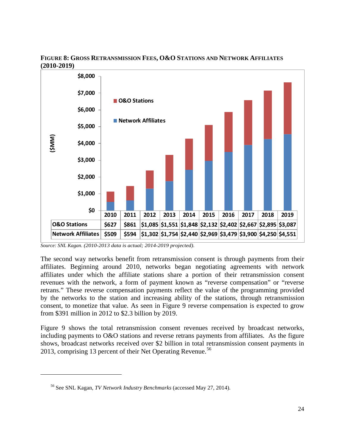

#### <span id="page-28-0"></span>**FIGURE 8: GROSS RETRANSMISSION FEES, O&O STATIONS AND NETWORK AFFILIATES (2010-2019)**

The second way networks benefit from retransmission consent is through payments from their affiliates. Beginning around 2010, networks began negotiating agreements with network affiliates under which the affiliate stations share a portion of their retransmission consent revenues with the network, a form of payment known as "reverse compensation" or "reverse retrans." These reverse compensation payments reflect the value of the programming provided by the networks to the station and increasing ability of the stations, through retransmission consent, to monetize that value. As seen in [Figure 9](#page-29-0) reverse compensation is expected to grow from \$391 million in 2012 to \$2.3 billion by 2019.

Figure 9 shows the total retransmission consent revenues received by broadcast networks, including payments to O&O stations and reverse retrans payments from affiliates. As the figure shows, broadcast networks received over \$2 billion in total retransmission consent payments in 2013, comprising 13 percent of their Net Operating Revenue.<sup>[56](#page-28-1)</sup>

*Source: SNL Kagan. (2010-2013 data is actual; 2014-2019 projected).*

<span id="page-28-1"></span><sup>56</sup> See SNL Kagan, *TV Network Industry Benchmarks* (accessed May 27, 2014).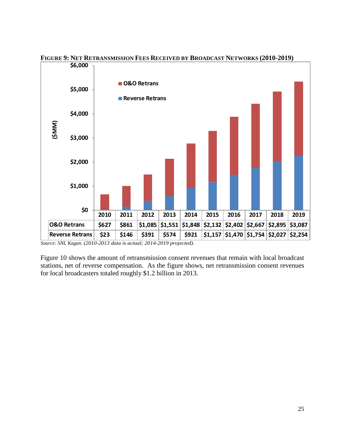

<span id="page-29-0"></span>**FIGURE 9: NET RETRANSMISSION FEES RECEIVED BY BROADCAST NETWORKS (2010-2019)**

*Source: SNL Kagan. (2010-2013 data is actual; 2014-2019 projected).*

Figure 10 shows the amount of retransmission consent revenues that remain with local broadcast stations, net of reverse compensation. As the figure shows, net retransmission consent revenues for local broadcasters totaled roughly \$1.2 billion in 2013.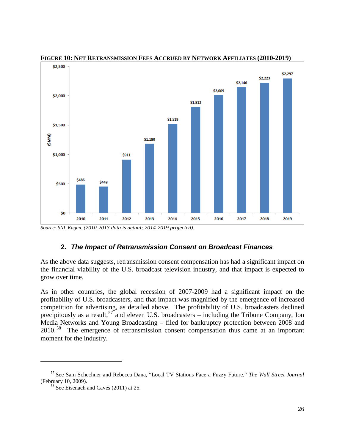

**FIGURE 10: NET RETRANSMISSION FEES ACCRUED BY NETWORK AFFILIATES (2010-2019)**

*Source: SNL Kagan. (2010-2013 data is actual; 2014-2019 projected).*

### **2.** *The Impact of Retransmission Consent on Broadcast Finances*

As the above data suggests, retransmission consent compensation has had a significant impact on the financial viability of the U.S. broadcast television industry, and that impact is expected to grow over time.

As in other countries, the global recession of 2007-2009 had a significant impact on the profitability of U.S. broadcasters, and that impact was magnified by the emergence of increased competition for advertising, as detailed above. The profitability of U.S. broadcasters declined precipitously as a result,  $57$  and eleven U.S. broadcasters – including the Tribune Company, Ion Media Networks and Young Broadcasting – filed for bankruptcy protection between 2008 and 2010.<sup>[58](#page-30-1)</sup> The emergence of retransmission consent compensation thus came at an important moment for the industry.

<span id="page-30-1"></span><span id="page-30-0"></span><sup>57</sup> See Sam Schechner and Rebecca Dana, "Local TV Stations Face a Fuzzy Future," *The Wall Street Journal* (February 10, 2009).<br><sup>58</sup> See Eisenach and Caves (2011) at 25.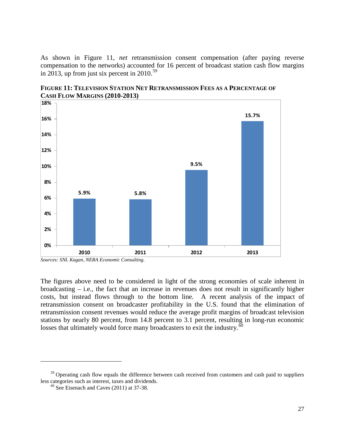As shown in Figure 11, *net* retransmission consent compensation (after paying reverse compensation to the networks) accounted for 16 percent of broadcast station cash flow margins in 2013, up from just six percent in 2010.<sup>[59](#page-31-0)</sup>



**FIGURE 11: TELEVISION STATION NET RETRANSMISSION FEES AS A PERCENTAGE OF CASH FLOW MARGINS (2010-2013)**

The figures above need to be considered in light of the strong economies of scale inherent in broadcasting – i.e., the fact that an increase in revenues does not result in significantly higher costs, but instead flows through to the bottom line. A recent analysis of the impact of retransmission consent on broadcaster profitability in the U.S. found that the elimination of retransmission consent revenues would reduce the average profit margins of broadcast television stations by nearly 80 percent, from 14.8 percent to 3.1 percent, resulting in long-run economic losses that ultimately would force many broadcasters to exit the industry.<sup>[60](#page-31-1)</sup>

*Sources: SNL Kagan, NERA Economic Consulting.*

<span id="page-31-1"></span><span id="page-31-0"></span><sup>&</sup>lt;sup>59</sup> Operating cash flow equals the difference between cash received from customers and cash paid to suppliers less categories such as interest, taxes and dividends.

 $\frac{60}{n}$  See Eisenach and Caves (2011) at 37-38.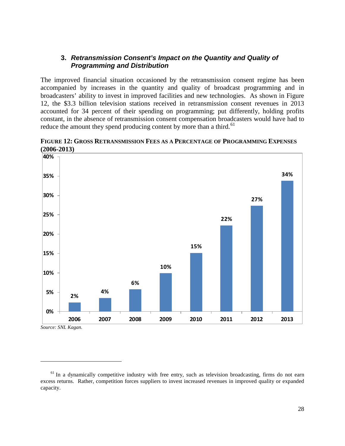#### **3.** *Retransmission Consent's Impact on the Quantity and Quality of Programming and Distribution*

The improved financial situation occasioned by the retransmission consent regime has been accompanied by increases in the quantity and quality of broadcast programming and in broadcasters' ability to invest in improved facilities and new technologies. As shown in [Figure](#page-32-0)  [12,](#page-32-0) the \$3.3 billion television stations received in retransmission consent revenues in 2013 accounted for 34 percent of their spending on programming; put differently, holding profits constant, in the absence of retransmission consent compensation broadcasters would have had to reduce the amount they spend producing content by more than a third.<sup>[61](#page-32-1)</sup>



<span id="page-32-0"></span>**FIGURE 12: GROSS RETRANSMISSION FEES AS A PERCENTAGE OF PROGRAMMING EXPENSES (2006-2013)**

*Source: SNL Kagan.*

<span id="page-32-1"></span><sup>&</sup>lt;sup>61</sup> In a dynamically competitive industry with free entry, such as television broadcasting, firms do not earn excess returns. Rather, competition forces suppliers to invest increased revenues in improved quality or expanded capacity.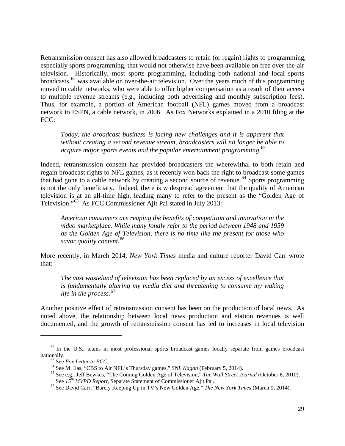Retransmission consent has also allowed broadcasters to retain (or regain) rights to programming, especially sports programming, that would not otherwise have been available on free over-the-air television. Historically, most sports programming, including both national and local sports broadcasts,  $62$  was available on over-the-air television. Over the years much of this programming moved to cable networks, who were able to offer higher compensation as a result of their access to multiple revenue streams (e.g., including both advertising and monthly subscription fees). Thus, for example, a portion of American football (NFL) games moved from a broadcast network to ESPN, a cable network, in 2006. As Fox Networks explained in a 2010 filing at the FCC:

*Today, the broadcast business is facing new challenges and it is apparent that without creating a second revenue stream, broadcasters will no longer be able to acquire major sports events and the popular entertainment programming.*[63](#page-33-1)

Indeed, retransmission consent has provided broadcasters the wherewithal to both retain and regain broadcast rights to NFL games, as it recently won back the right to broadcast some games that had gone to a cable network by creating a second source of revenue. [64](#page-33-2) Sports programming is not the only beneficiary. Indeed, there is widespread agreement that the quality of American television is at an all-time high, leading many to refer to the present as the "Golden Age of Television."[65](#page-33-3) As FCC Commissioner Ajit Pai stated in July 2013:

*American consumers are reaping the benefits of competition and innovation in the video marketplace. While many fondly refer to the period between 1948 and 1959 as the Golden Age of Television, there is no time like the present for those who savor quality content.*[66](#page-33-4)

More recently, in March 2014, *New York Times* media and culture reporter David Carr wrote that:

*The vast wasteland of television has been replaced by an excess of excellence that is fundamentally altering my media diet and threatening to consume my waking life in the process.*[67](#page-33-5)

Another positive effect of retransmission consent has been on the production of local news. As noted above, the relationship between local news production and station revenues is well documented, and the growth of retransmission consent has led to increases in local television

<span id="page-33-3"></span><span id="page-33-2"></span><span id="page-33-1"></span><span id="page-33-0"></span> $62$  In the U.S., teams in most professional sports broadcast games locally separate from games broadcast nationally.<br>
<sup>63</sup> See *Fox Letter to FCC*.<br>
<sup>64</sup> See M. Ilas, "CBS to Air NFL's Thursday games," *SNL Kagan* (February 5, 2014).<br>
<sup>65</sup> See e.g., Jeff Bewkes, "The Coming Golden Age of Television," *The Wall Street Journal* 

<span id="page-33-4"></span>

<span id="page-33-5"></span>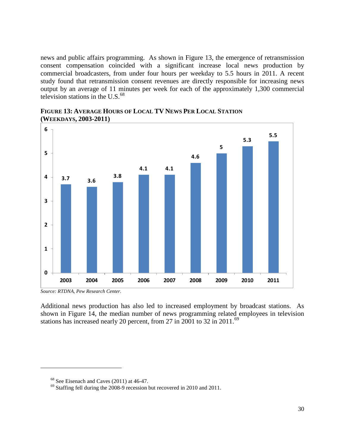news and public affairs programming. As shown in Figure 13, the emergence of retransmission consent compensation coincided with a significant increase local news production by commercial broadcasters, from under four hours per weekday to 5.5 hours in 2011. A recent study found that retransmission consent revenues are directly responsible for increasing news output by an average of 11 minutes per week for each of the approximately 1,300 commercial television stations in the U.S. $<sup>68</sup>$  $<sup>68</sup>$  $<sup>68</sup>$ </sup>



**FIGURE 13: AVERAGE HOURS OF LOCAL TV NEWS PER LOCAL STATION (WEEKDAYS, 2003-2011)**

*Source: RTDNA, Pew Research Center.*

<span id="page-34-1"></span><span id="page-34-0"></span> $\overline{a}$ 

Additional news production has also led to increased employment by broadcast stations. As shown in Figure 14, the median number of news programming related employees in television stations has increased nearly 20 percent, from 27 in 2001 to 32 in 2011.<sup>[69](#page-34-1)</sup>

<sup>&</sup>lt;sup>68</sup> See Eisenach and Caves (2011) at 46-47. <sup>69</sup> Staffing fell during the 2008-9 recession but recovered in 2010 and 2011.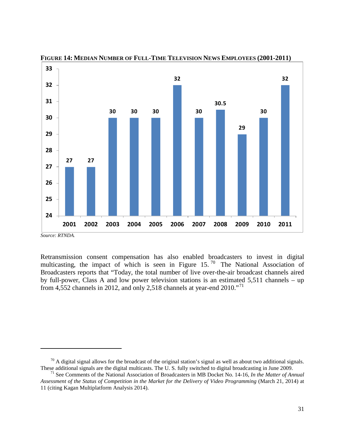

**FIGURE 14: MEDIAN NUMBER OF FULL-TIME TELEVISION NEWS EMPLOYEES (2001-2011)**

*Source: RTNDA.*

 $\overline{a}$ 

Retransmission consent compensation has also enabled broadcasters to invest in digital multicasting, the impact of which is seen in Figure 15.<sup>[70](#page-35-0)</sup> The National Association of Broadcasters reports that "Today, the total number of live over-the-air broadcast channels aired by full-power, Class A and low power television stations is an estimated 5,511 channels – up from 4,552 channels in 2012, and only 2,518 channels at year-end  $2010.^{17}$ .

<span id="page-35-0"></span> $\frac{70}{2}$  A digital signal allows for the broadcast of the original station's signal as well as about two additional signals. These additional signals are the digital multicasts. The U.S. fully switched to digital broadcasting in June 2009.<br><sup>71</sup> See Comments of the National Association of Broadcasters in MB Docket No. 14-16, *In the Matter of An* 

<span id="page-35-1"></span>*Assessment of the Status of Competition in the Market for the Delivery of Video Programming* (March 21, 2014) at 11 (citing Kagan Multiplatform Analysis 2014).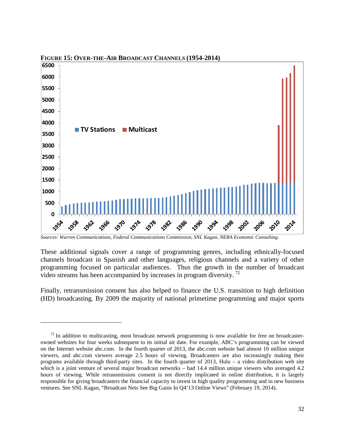

**FIGURE 15: OVER-THE-AIR BROADCAST CHANNELS (1954-2014)**

*Sources: Warren Communications, Federal Communications Commission, SNL Kagan, NERA Economic Consulting.*

 $\overline{a}$ 

These additional signals cover a range of programming genres, including ethnically-focused channels broadcast in Spanish and other languages, religious channels and a variety of other programming focused on particular audiences. Thus the growth in the number of broadcast video streams has been accompanied by increases in program diversity. [72](#page-36-0)

Finally, retransmission consent has also helped to finance the U.S. transition to high definition (HD) broadcasting. By 2009 the majority of national primetime programming and major sports

<span id="page-36-0"></span> $72$  In addition to multicasting, most broadcast network programming is now available for free on broadcasterowned websites for four weeks subsequent to its initial air date. For example, ABC's programming can be viewed on the Internet website abc.com. In the fourth quarter of 2013, the abc.com website had almost 10 million unique viewers, and abc.com viewers average 2.5 hours of viewing. Broadcasters are also increasingly making their programs available through third-party sites. In the fourth quarter of 2013, Hulu – a video distribution web site which is a joint venture of several major broadcast networks – had 14.4 million unique viewers who averaged 4.2 hours of viewing. While retransmission consent is not directly implicated in online distribution, it is largely responsible for giving broadcasters the financial capacity to invest in high quality programming and in new business ventures. See SNL Kagan, "Broadcast Nets See Big Gains In Q4'13 Online Views" (February 19, 2014).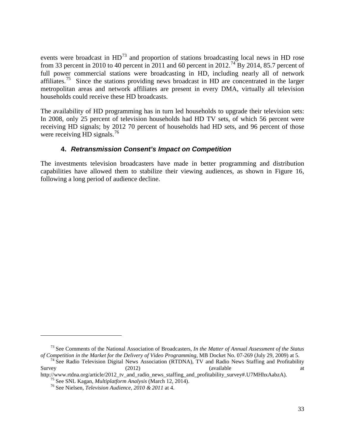events were broadcast in HD<sup>[73](#page-37-0)</sup> and proportion of stations broadcasting local news in HD rose from 33 percent in 2010 to 40 percent in 2011 and 60 percent in 2012.<sup>[74](#page-37-1)</sup> By 2014, 85.7 percent of full power commercial stations were broadcasting in HD, including nearly all of network affiliates.<sup>75</sup> Since the stations providing news broadcast in HD are concentrated in the larger metropolitan areas and network affiliates are present in every DMA, virtually all television households could receive these HD broadcasts.

The availability of HD programming has in turn led households to upgrade their television sets: In 2008, only 25 percent of television households had HD TV sets, of which 56 percent were receiving HD signals; by 2012 70 percent of households had HD sets, and 96 percent of those were receiving HD signals.<sup>[76](#page-37-3)</sup>

## **4.** *Retransmission Consent's Impact on Competition*

The investments television broadcasters have made in better programming and distribution capabilities have allowed them to stabilize their viewing audiences, as shown in [Figure 16,](#page-38-0) following a long period of audience decline.

<span id="page-37-0"></span><sup>&</sup>lt;sup>73</sup> See Comments of the National Association of Broadcasters, *In the Matter of Annual Assessment of the Status of Competition in the Market for the Delivery of Video Programming, MB Docket No. 07-269 (July 29, 2009) at 5* 

<span id="page-37-1"></span><sup>&</sup>lt;sup>74</sup> See Radio Television Digital News Association (RTDNA), TV and Radio News Staffing and Profitability Survey (2012) (available at a

<span id="page-37-3"></span><span id="page-37-2"></span>http://www.rtdna.org/article/2012\_tv\_and\_radio\_news\_staffing\_and\_profitability\_survey#.U7MHhxAabzA).<br><sup>75</sup> See SNL Kagan, *Multiplatform Analysis* (March 12, 2014).<br><sup>76</sup> See Nielsen, *Television Audience*, 2010 & 2011 at 4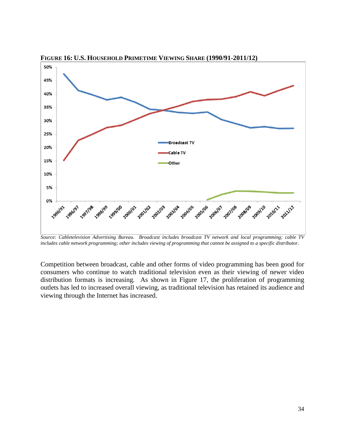

<span id="page-38-0"></span>**FIGURE 16: U.S. HOUSEHOLD PRIMETIME VIEWING SHARE (1990/91-2011/12)**

*Source: Cabletelevision Advertising Bureau. Broadcast includes broadcast TV network and local programming; cable TV includes cable network programming; other includes viewing of programming that cannot be assigned to a specific distributor.*

Competition between broadcast, cable and other forms of video programming has been good for consumers who continue to watch traditional television even as their viewing of newer video distribution formats is increasing. As shown in [Figure 17,](#page-39-0) the proliferation of programming outlets has led to increased overall viewing, as traditional television has retained its audience and viewing through the Internet has increased.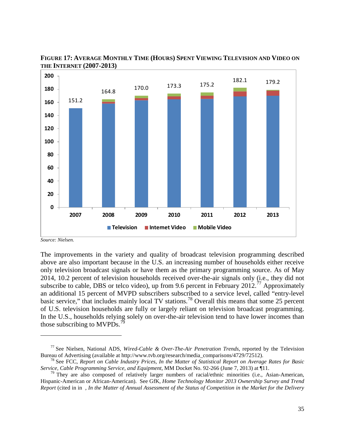

<span id="page-39-0"></span>**FIGURE 17: AVERAGE MONTHLY TIME (HOURS) SPENT VIEWING TELEVISION AND VIDEO ON THE INTERNET (2007-2013)**

 $\overline{a}$ 

The improvements in the variety and quality of broadcast television programming described above are also important because in the U.S. an increasing number of households either receive only television broadcast signals or have them as the primary programming source. As of May 2014, 10.2 percent of television households received over-the-air signals only (i.e., they did not subscribe to cable, DBS or telco video), up from 9.6 percent in February  $2012.^{77}$  $2012.^{77}$  $2012.^{77}$  Approximately an additional 15 percent of MVPD subscribers subscribed to a service level, called "entry-level basic service," that includes mainly local TV stations.<sup>[78](#page-39-2)</sup> Overall this means that some 25 percent of U.S. television households are fully or largely reliant on television broadcast programming. In the U.S., households relying solely on over-the-air television tend to have lower incomes than those subscribing to MVPDs.<sup>7</sup>

*Source: Nielsen.*

<span id="page-39-1"></span><sup>&</sup>lt;sup>77</sup> See Nielsen, National ADS, *Wired-Cable & Over-The-Air Penetration Trends*, reported by the Television Bureau of Advertising (available at http://www.tvb.org/research/media\_comparisons/4729/72512).

<span id="page-39-2"></span><sup>&</sup>lt;sup>78</sup> See FCC, *Report on Cable Industry Prices, In the Matter of Statistical Report on Average Rates for Basic Service, Cable Programming Service, and Equipment*, MM Docket No. 92-266 (June 7, 2013) at ¶11.<br><sup>79</sup> They are also composed of relatively larger numbers of racial/ethnic minorities (i.e., Asian-American,

<span id="page-39-3"></span>Hispanic-American or African-American). See GfK, *Home Technology Monitor 2013 Ownership Survey and Trend Report* (cited in in *, In the Matter of Annual Assessment of the Status of Competition in the Market for the Delivery*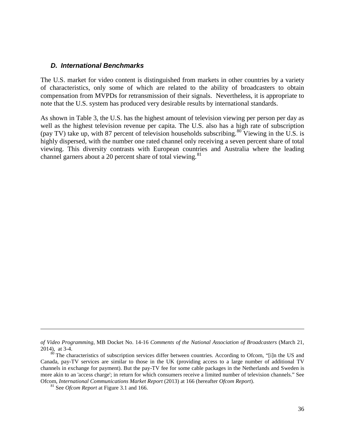#### *D. International Benchmarks*

The U.S. market for video content is distinguished from markets in other countries by a variety of characteristics, only some of which are related to the ability of broadcasters to obtain compensation from MVPDs for retransmission of their signals. Nevertheless, it is appropriate to note that the U.S. system has produced very desirable results by international standards.

As shown in Table 3, the U.S. has the highest amount of television viewing per person per day as well as the highest television revenue per capita. The U.S. also has a high rate of subscription (pay TV) take up, with 87 percent of television households subscribing.  $80$  Viewing in the U.S. is highly dispersed, with the number one rated channel only receiving a seven percent share of total viewing. This diversity contrasts with European countries and Australia where the leading channel garners about a 20 percent share of total viewing.<sup>81</sup>

*of Video Programming*, MB Docket No. 14-16 *Comments of the National Association of Broadcasters* (March 21, 2014), at 3-4.  $\frac{80}{10}$  The characteristics of subscription services differ between countries. According to Ofcom, "[i]n the US and

<span id="page-40-1"></span><span id="page-40-0"></span>Canada, pay-TV services are similar to those in the UK (providing access to a large number of additional TV channels in exchange for payment). But the pay-TV fee for some cable packages in the Netherlands and Sweden is more akin to an 'access charge'; in return for which consumers receive a limited number of television channels." See Ofcom, *International Communications Market Report* (2013) at 166 (hereafter *Ofcom Report*). <sup>81</sup> See *Ofcom Report* at Figure 3.1 and 166.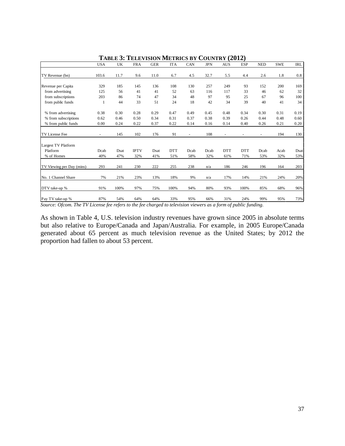|                           | <b>USA</b> | UK   | <b>FRA</b>  | <b>GER</b> | <b>ITA</b> | CAN                      | <b>JPN</b> | <b>AUS</b> | <b>ESP</b> | <b>NED</b> | <b>SWE</b> | <b>IRL</b> |
|---------------------------|------------|------|-------------|------------|------------|--------------------------|------------|------------|------------|------------|------------|------------|
| TV Revenue (bn)           | 103.6      | 11.7 | 9.6         | 11.0       | 6.7        | 4.5                      | 32.7       | 5.5        | 4.4        | 2.6        | 1.8        | 0.8        |
|                           |            |      |             |            |            |                          |            |            |            |            |            |            |
| Revenue per Capita        | 329        | 185  | 145         | 136        | 108        | 130                      | 257        | 249        | 93         | 152        | 200        | 169        |
| from advertising          | 125        | 56   | 41          | 41         | 52         | 63                       | 116        | 117        | 33         | 46         | 62         | 32         |
| from subscriptions        | 203        | 86   | 74          | 47         | 34         | 48                       | 97         | 95         | 25         | 67         | 96         | 100        |
| from public funds         | 1          | 44   | 33          | 51         | 24         | 18                       | 42         | 34         | 39         | 40         | 41         | 34         |
| % from advertising        | 0.38       | 0.30 | 0.28        | 0.29       | 0.47       | 0.49                     | 0.45       | 0.48       | 0.34       | 0.30       | 0.31       | 0.19       |
| % from subscriptions      | 0.62       | 0.46 | 0.50        | 0.34       | 0.31       | 0.37                     | 0.38       | 0.39       | 0.26       | 0.44       | 0.48       | 0.60       |
| % from public funds       | 0.00       | 0.24 | 0.22        | 0.37       | 0.22       | 0.14                     | 0.16       | 0.14       | 0.40       | 0.26       | 0.21       | 0.20       |
| TV License Fee            | ٠          | 145  | 102         | 176        | 91         | $\overline{\phantom{a}}$ | 108        |            |            |            | 194        | 130        |
| Largest TV Platform       |            |      |             |            |            |                          |            |            |            |            |            |            |
| Platform                  | Dcab       | Dsat | <b>IPTV</b> | Dsat       | <b>DTT</b> | Dcab                     | Dcab       | <b>DTT</b> | <b>DTT</b> | Dcab       | Acab       | Dsat       |
| % of Homes                | 40%        | 47%  | 32%         | 41%        | 51%        | 58%                      | 32%        | 61%        | 71%        | 53%        | 32%        | 53%        |
| TV Viewing per Day (mins) | 293        | 241  | 230         | 222        | 255        | 238                      | n/a        | 186        | 246        | 196        | 164        | 203        |
| No. 1 Channel Share       | 7%         | 21%  | 23%         | 13%        | 18%        | 9%                       | n/a        | 17%        | 14%        | 21%        | 24%        | 20%        |
| DTV take-up %             | 91%        | 100% | 97%         | 75%        | 100%       | 94%                      | 80%        | 93%        | 100%       | 85%        | 68%        | 96%        |
| Pay TV take-up %          | 87%        | 54%  | 64%         | 64%        | 33%        | 95%                      | 66%        | 31%        | 24%        | 99%        | 95%        | 73%        |

**TABLE 3: TELEVISION METRICS BY COUNTRY (2012)**

*Source: Ofcom. The TV License fee refers to the fee charged to television viewers as a form of public funding.*

As shown in Table 4, U.S. television industry revenues have grown since 2005 in absolute terms but also relative to Europe/Canada and Japan/Australia. For example, in 2005 Europe/Canada generated about 65 percent as much television revenue as the United States; by 2012 the proportion had fallen to about 53 percent.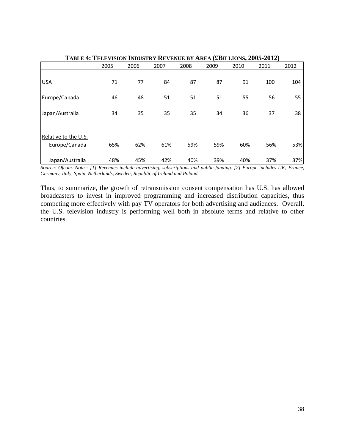|                                       | 2005 | 2006 | 2007 | 2008 | 2009 | 2010 | 2011 | 2012 |
|---------------------------------------|------|------|------|------|------|------|------|------|
| <b>USA</b>                            | 71   | 77   | 84   | 87   | 87   | 91   | 100  | 104  |
| Europe/Canada                         | 46   | 48   | 51   | 51   | 51   | 55   | 56   | 55   |
| Japan/Australia                       | 34   | 35   | 35   | 35   | 34   | 36   | 37   | 38   |
| Relative to the U.S.<br>Europe/Canada | 65%  | 62%  | 61%  | 59%  | 59%  | 60%  | 56%  | 53%  |
| Japan/Australia                       | 48%  | 45%  | 42%  | 40%  | 39%  | 40%  | 37%  | 37%  |

**TABLE 4: TELEVISION INDUSTRY REVENUE BY AREA (£BILLIONS, 2005-2012)**

*Source: Ofcom. Notes: [1] Revenues include advertising, subscriptions and public funding. [2] Europe includes UK, France, Germany, Italy, Spain, Netherlands, Sweden, Republic of Ireland and Poland.*

Thus, to summarize, the growth of retransmission consent compensation has U.S. has allowed broadcasters to invest in improved programming and increased distribution capacities, thus competing more effectively with pay TV operators for both advertising and audiences. Overall, the U.S. television industry is performing well both in absolute terms and relative to other countries.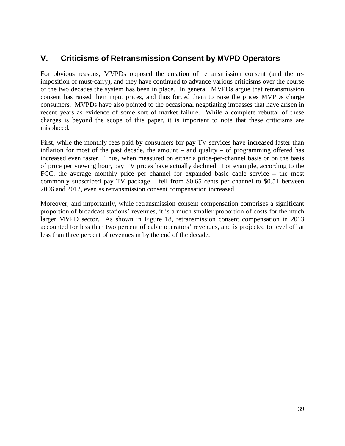# **V. Criticisms of Retransmission Consent by MVPD Operators**

For obvious reasons, MVPDs opposed the creation of retransmission consent (and the reimposition of must-carry), and they have continued to advance various criticisms over the course of the two decades the system has been in place. In general, MVPDs argue that retransmission consent has raised their input prices, and thus forced them to raise the prices MVPDs charge consumers. MVPDs have also pointed to the occasional negotiating impasses that have arisen in recent years as evidence of some sort of market failure. While a complete rebuttal of these charges is beyond the scope of this paper, it is important to note that these criticisms are misplaced.

First, while the monthly fees paid by consumers for pay TV services have increased faster than inflation for most of the past decade, the amount – and quality – of programming offered has increased even faster. Thus, when measured on either a price-per-channel basis or on the basis of price per viewing hour, pay TV prices have actually declined. For example, according to the FCC, the average monthly price per channel for expanded basic cable service – the most commonly subscribed pay TV package – fell from \$0.65 cents per channel to \$0.51 between 2006 and 2012, even as retransmission consent compensation increased.

Moreover, and importantly, while retransmission consent compensation comprises a significant proportion of broadcast stations' revenues, it is a much smaller proportion of costs for the much larger MVPD sector. As shown in Figure 18, retransmission consent compensation in 2013 accounted for less than two percent of cable operators' revenues, and is projected to level off at less than three percent of revenues in by the end of the decade.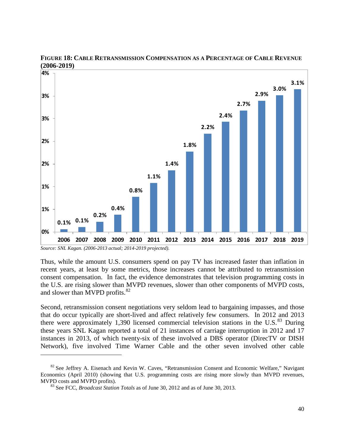

#### **FIGURE 18: CABLE RETRANSMISSION COMPENSATION AS A PERCENTAGE OF CABLE REVENUE (2006-2019)**

Thus, while the amount U.S. consumers spend on pay TV has increased faster than inflation in recent years, at least by some metrics, those increases cannot be attributed to retransmission consent compensation. In fact, the evidence demonstrates that television programming costs in the U.S. are rising slower than MVPD revenues, slower than other components of MVPD costs, and slower than MVPD profits.<sup>[82](#page-44-0)</sup>

Second, retransmission consent negotiations very seldom lead to bargaining impasses, and those that do occur typically are short-lived and affect relatively few consumers. In 2012 and 2013 there were approximately 1,390 licensed commercial television stations in the U.S. $^{83}$  $^{83}$  $^{83}$  During these years SNL Kagan reported a total of 21 instances of carriage interruption in 2012 and 17 instances in 2013, of which twenty-six of these involved a DBS operator (DirecTV or DISH Network), five involved Time Warner Cable and the other seven involved other cable

<span id="page-44-1"></span><span id="page-44-0"></span> $82$  See Jeffrey A. Eisenach and Kevin W. Caves, "Retransmission Consent and Economic Welfare," Navigant Economics (April 2010) (showing that U.S. programming costs are rising more slowly than MVPD revenues, MVPD costs and MVPD profits).<br><sup>83</sup> See FCC, *Broadcast Station Totals* as of June 30, 2012 and as of June 30, 2013.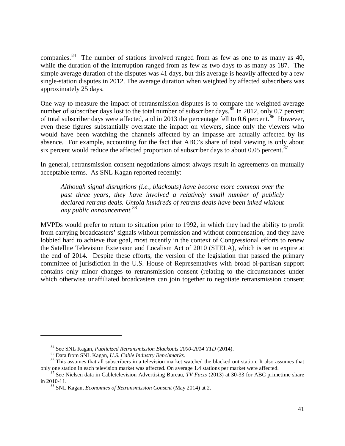companies.<sup>[84](#page-45-0)</sup> The number of stations involved ranged from as few as one to as many as 40, while the duration of the interruption ranged from as few as two days to as many as 187. The simple average duration of the disputes was 41 days, but this average is heavily affected by a few single-station disputes in 2012. The average duration when weighted by affected subscribers was approximately 25 days.

One way to measure the impact of retransmission disputes is to compare the weighted average number of subscriber days lost to the total number of subscriber days.<sup>[85](#page-45-1)</sup> In 2012, only 0.7 percent of total subscriber days were affected, and in 2013 the percentage fell to 0.6 percent.<sup>[86](#page-45-2)</sup> However, even these figures substantially overstate the impact on viewers, since only the viewers who would have been watching the channels affected by an impasse are actually affected by its absence. For example, accounting for the fact that ABC's share of total viewing is only about six percent would reduce the affected proportion of subscriber days to about  $0.05$  percent.<sup>[87](#page-45-3)</sup>

In general, retransmission consent negotiations almost always result in agreements on mutually acceptable terms. As SNL Kagan reported recently:

*Although signal disruptions (i.e., blackouts) have become more common over the past three years, they have involved a relatively small number of publicly declared retrans deals. Untold hundreds of retrans deals have been inked without any public announcement.*[88](#page-45-4)

MVPDs would prefer to return to situation prior to 1992, in which they had the ability to profit from carrying broadcasters' signals without permission and without compensation, and they have lobbied hard to achieve that goal, most recently in the context of Congressional efforts to renew the Satellite Television Extension and Localism Act of 2010 (STELA), which is set to expire at the end of 2014. Despite these efforts, the version of the legislation that passed the primary committee of jurisdiction in the U.S. House of Representatives with broad bi-partisan support contains only minor changes to retransmission consent (relating to the circumstances under which otherwise unaffiliated broadcasters can join together to negotiate retransmission consent

<span id="page-45-2"></span><span id="page-45-1"></span><span id="page-45-0"></span><sup>&</sup>lt;sup>84</sup> See SNL Kagan, *Publicized Retransmission Blackouts 2000-2014 YTD* (2014).<br><sup>85</sup> Data from SNL Kagan, *U.S. Cable Industry Benchmarks*.<br><sup>86</sup> This assumes that all subscribers in a television market watched the blacked only one station in each television market was affected. On average 1.4 stations per market were affected. <sup>87</sup> See Nielsen data in Cabletelevision Advertising Bureau, *TV Facts* (2013) at 30-33 for ABC primetime share

<span id="page-45-4"></span><span id="page-45-3"></span>in 2010-11. <sup>88</sup> SNL Kagan, *Economics of Retransmission Consent* (May 2014) at 2.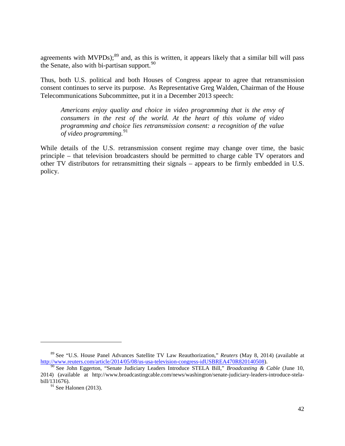agreements with  $MVPDs$ ;<sup>[89](#page-46-0)</sup> and, as this is written, it appears likely that a similar bill will pass the Senate, also with bi-partisan support.<sup>[90](#page-46-1)</sup>

Thus, both U.S. political and both Houses of Congress appear to agree that retransmission consent continues to serve its purpose. As Representative Greg Walden, Chairman of the House Telecommunications Subcommittee, put it in a December 2013 speech:

*Americans enjoy quality and choice in video programming that is the envy of consumers in the rest of the world. At the heart of this volume of video programming and choice lies retransmission consent: a recognition of the value of video programming.*<sup>[91](#page-46-2)</sup>

While details of the U.S. retransmission consent regime may change over time, the basic principle – that television broadcasters should be permitted to charge cable TV operators and other TV distributors for retransmitting their signals – appears to be firmly embedded in U.S. policy.

<span id="page-46-0"></span><sup>89</sup> See "U.S. House Panel Advances Satellite TV Law Reauthorization," *Reuters* (May 8, 2014) (available at [http://www.reuters.com/article/2014/05/08/us-usa-television-congress-idUSBREA470R820140508\)](http://www.reuters.com/article/2014/05/08/us-usa-television-congress-idUSBREA470R820140508).

<span id="page-46-2"></span><span id="page-46-1"></span><sup>&</sup>lt;sup>90</sup> See John Eggerton, "Senate Judiciary Leaders Introduce STELA Bill," *Broadcasting & Cable* (June 10, 2014) (available at http://www.broadcastingcable.com/news/washington/senate-judiciary-leaders-introduce-stelabill/131676).

 $91$  See Halonen (2013).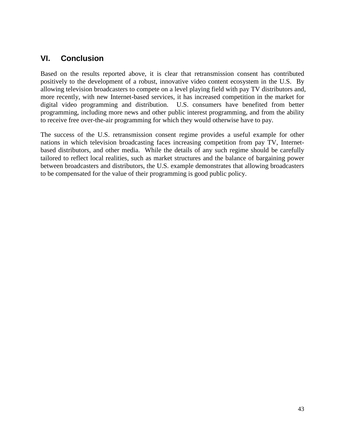## **VI. Conclusion**

Based on the results reported above, it is clear that retransmission consent has contributed positively to the development of a robust, innovative video content ecosystem in the U.S. By allowing television broadcasters to compete on a level playing field with pay TV distributors and, more recently, with new Internet-based services, it has increased competition in the market for digital video programming and distribution. U.S. consumers have benefited from better programming, including more news and other public interest programming, and from the ability to receive free over-the-air programming for which they would otherwise have to pay.

The success of the U.S. retransmission consent regime provides a useful example for other nations in which television broadcasting faces increasing competition from pay TV, Internetbased distributors, and other media. While the details of any such regime should be carefully tailored to reflect local realities, such as market structures and the balance of bargaining power between broadcasters and distributors, the U.S. example demonstrates that allowing broadcasters to be compensated for the value of their programming is good public policy.